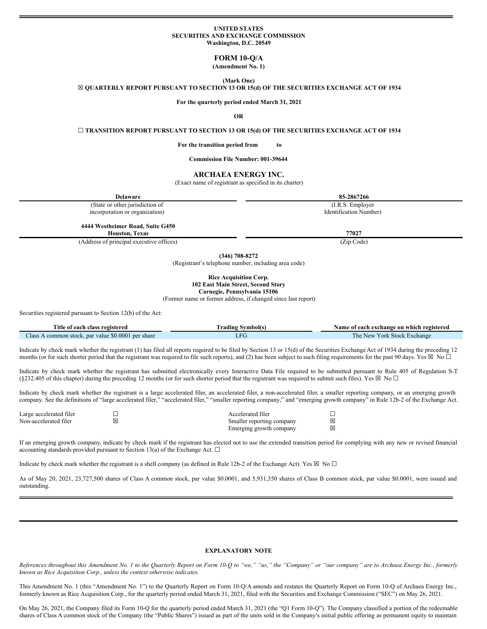### **UNITED STATES SECURITIES AND EXCHANGE COMMISSION Washington, D.C. 20549**

# **FORM 10-Q/A**

**(Amendment No. 1)**

**(Mark One)**

☒ **QUARTERLY REPORT PURSUANT TO SECTION 13 OR 15(d) OF THE SECURITIES EXCHANGE ACT OF 1934**

**For the quarterly period ended March 31, 2021**

# **OR**

☐ **TRANSITION REPORT PURSUANT TO SECTION 13 OR 15(d) OF THE SECURITIES EXCHANGE ACT OF 1934**

**For the transition period from to**

**Commission File Number: 001-39644**

# **ARCHAEA ENERGY INC.**

(Exact name of registrant as specified in its charter)

| <b>Delaware</b>                          | 85-2867266             |
|------------------------------------------|------------------------|
| (State or other jurisdiction of          | (I.R.S. Employer)      |
| incorporation or organization)           | Identification Number) |
|                                          |                        |
| 4444 Westheimer Road, Suite G450         |                        |
| <b>Houston, Texas</b>                    | 77027                  |
| (Address of principal executive offices) | (Zip Code)             |

**(346) 708-8272**

(Registrant's telephone number, including area code)

#### **Rice Acquisition Corp. 102 East Main Street, Second Story Carnegie, Pennsylvania 15106**

(Former name or former address, if changed since last report)

Securities registered pursuant to Section 12(b) of the Act:

| Title                                                    | Symbol(s) | f each exchange on which registered                  |  |  |  |  |  |
|----------------------------------------------------------|-----------|------------------------------------------------------|--|--|--|--|--|
| e of each class registered                               | rading .  | Name                                                 |  |  |  |  |  |
| par value \$0,0001 per share<br>Llass<br>. common stock. | LFU       | <b>Stock Exchange</b><br>l ne<br>Y ork<br><b>New</b> |  |  |  |  |  |

Indicate by check mark whether the registrant (1) has filed all reports required to be filed by Section 13 or 15(d) of the Securities Exchange Act of 1934 during the preceding 12 months (or for such shorter period that the registrant was required to file such reports), and (2) has been subject to such filing requirements for the past 90 days. Yes  $\boxtimes$  No  $\Box$ 

Indicate by check mark whether the registrant has submitted electronically every Interactive Data File required to be submitted pursuant to Rule 405 of Regulation S-T (§232.405 of this chapter) during the preceding 12 months (or for such shorter period that the registrant was required to submit such files). Yes  $\boxtimes$  No  $\Box$ 

Indicate by check mark whether the registrant is a large accelerated filer, an accelerated filer, a non-accelerated filer, a smaller reporting company, or an emerging growth company. See the definitions of "large accelerated filer," "accelerated filer," "smaller reporting company," and "emerging growth company" in Rule 12b-2 of the Exchange Act.

| Large accelerated filer |   | Accelerated filer         |   |
|-------------------------|---|---------------------------|---|
| Non-accelerated filer   | X | Smaller reporting company |   |
|                         |   | Emerging growth company   | 冈 |

If an emerging growth company, indicate by check mark if the registrant has elected not to use the extended transition period for complying with any new or revised financial accounting standards provided pursuant to Section 13(a) of the Exchange Act.  $\square$ 

Indicate by check mark whether the registrant is a shell company (as defined in Rule 12b-2 of the Exchange Act). Yes  $\boxtimes$  No  $\Box$ 

As of May 20, 2021, 23,727,500 shares of Class A common stock, par value \$0.0001, and 5,931,350 shares of Class B common stock, par value \$0.0001, were issued and outstanding.

#### **EXPLANATORY NOTE**

References throughout this Amendment No. 1 to the Quarterly Report on Form 10-Q to "we," "us," the "Company" or "our company" are to Archaea Energy Inc., formerly *known as Rice Acquisition Corp., unless the context otherwise indicates.*

This Amendment No. 1 (this "Amendment No. 1") to the Quarterly Report on Form 10-Q/A amends and restates the Quarterly Report on Form 10-Q of Archaea Energy Inc., formerly known as Rice Acquisition Corp., for the quarterly period ended March 31, 2021, filed with the Securities and Exchange Commission ("SEC") on May 26, 2021.

On May 26, 2021, the Company filed its Form 10-Q for the quarterly period ended March 31, 2021 (the "Q1 Form 10-Q"). The Company classified a portion of the redeemable shares of Class A common stock of the Company (the "Public Shares") issued as part of the units sold in the Company's initial public offering as permanent equity to maintain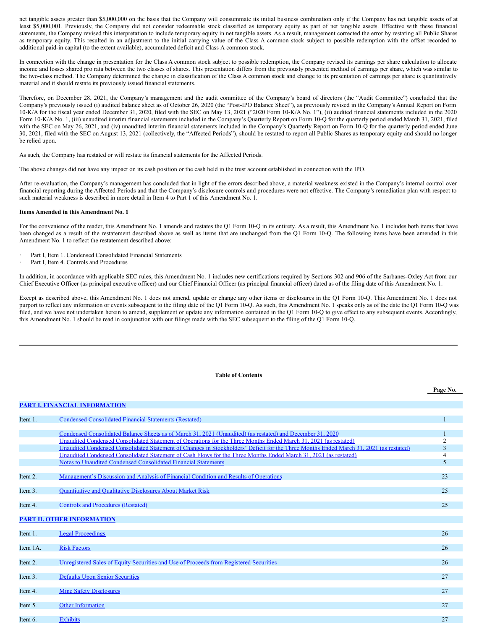net tangible assets greater than \$5,000,000 on the basis that the Company will consummate its initial business combination only if the Company has net tangible assets of at least \$5,000,001. Previously, the Company did not consider redeemable stock classified as temporary equity as part of net tangible assets. Effective with these financial statements, the Company revised this interpretation to include temporary equity in net tangible assets. As a result, management corrected the error by restating all Public Shares as temporary equity. This resulted in an adjustment to the initial carrying value of the Class A common stock subject to possible redemption with the offset recorded to additional paid-in capital (to the extent available), accumulated deficit and Class A common stock.

In connection with the change in presentation for the Class A common stock subject to possible redemption, the Company revised its earnings per share calculation to allocate income and losses shared pro rata between the two classes of shares. This presentation differs from the previously presented method of earnings per share, which was similar to the two-class method. The Company determined the change in classification of the Class A common stock and change to its presentation of earnings per share is quantitatively material and it should restate its previously issued financial statements.

Therefore, on December 28, 2021, the Company's management and the audit committee of the Company's board of directors (the "Audit Committee") concluded that the Company's previously issued (i) audited balance sheet as of October 26, 2020 (the "Post-IPO Balance Sheet"), as previously revised in the Company's Annual Report on Form 10-K/A for the fiscal year ended December 31, 2020, filed with the SEC on May 13, 2021 ("2020 Form 10-K/A No. 1"), (ii) audited financial statements included in the 2020 Form 10-K/A No. 1, (iii) unaudited interim financial statements included in the Company's Quarterly Report on Form 10-Q for the quarterly period ended March 31, 2021, filed with the SEC on May 26, 2021, and (iv) unaudited interim financial statements included in the Company's Quarterly Report on Form 10-Q for the quarterly period ended June 30, 2021, filed with the SEC on August 13, 2021 (collectively, the "Affected Periods"), should be restated to report all Public Shares as temporary equity and should no longer be relied upon.

As such, the Company has restated or will restate its financial statements for the Affected Periods.

The above changes did not have any impact on its cash position or the cash held in the trust account established in connection with the IPO.

After re-evaluation, the Company's management has concluded that in light of the errors described above, a material weakness existed in the Company's internal control over financial reporting during the Affected Periods and that the Company's disclosure controls and procedures were not effective. The Company's remediation plan with respect to such material weakness is described in more detail in Item 4 to Part 1 of this Amendment No. 1.

#### **Items Amended in this Amendment No. 1**

For the convenience of the reader, this Amendment No. 1 amends and restates the Q1 Form 10-Q in its entirety. As a result, this Amendment No. 1 includes both items that have been changed as a result of the restatement described above as well as items that are unchanged from the Q1 Form 10-Q. The following items have been amended in this Amendment No. 1 to reflect the restatement described above:

- Part I, Item 1. Condensed Consolidated Financial Statements
- Part I, Item 4. Controls and Procedures

In addition, in accordance with applicable SEC rules, this Amendment No. 1 includes new certifications required by Sections 302 and 906 of the Sarbanes-Oxley Act from our Chief Executive Officer (as principal executive officer) and our Chief Financial Officer (as principal financial officer) dated as of the filing date of this Amendment No. 1.

Except as described above, this Amendment No. 1 does not amend, update or change any other items or disclosures in the Q1 Form 10-Q. This Amendment No. 1 does not purport to reflect any information or events subsequent to the filing date of the Q1 Form 10-Q. As such, this Amendment No. 1 speaks only as of the date the Q1 Form 10-Q was filed, and we have not undertaken herein to amend, supplement or update any information contained in the Q1 Form 10-Q to give effect to any subsequent events. Accordingly, this Amendment No. 1 should be read in conjunction with our filings made with the SEC subsequent to the filing of the Q1 Form 10-Q.

## **Table of Contents**

|          |                                                                                                                                        | Page No. |
|----------|----------------------------------------------------------------------------------------------------------------------------------------|----------|
|          | <b>PART I. FINANCIAL INFORMATION</b>                                                                                                   |          |
| Item 1.  | <b>Condensed Consolidated Financial Statements (Restated)</b>                                                                          |          |
|          |                                                                                                                                        |          |
|          | Condensed Consolidated Balance Sheets as of March 31, 2021 (Unaudited) (as restated) and December 31, 2020                             |          |
|          | Unaudited Condensed Consolidated Statement of Operations for the Three Months Ended March 31, 2021 (as restated)                       |          |
|          | Unaudited Condensed Consolidated Statement of Changes in Stockholders' Deficit for the Three Months Ended March 31, 2021 (as restated) | 3        |
|          | Unaudited Condensed Consolidated Statement of Cash Flows for the Three Months Ended March 31, 2021 (as restated)                       | 4        |
|          | Notes to Unaudited Condensed Consolidated Financial Statements                                                                         | 5        |
| Item 2.  | Management's Discussion and Analysis of Financial Condition and Results of Operations                                                  | 23       |
|          |                                                                                                                                        |          |
| Item 3.  | <b>Quantitative and Qualitative Disclosures About Market Risk</b>                                                                      | 25       |
| Item 4.  | <b>Controls and Procedures (Restated)</b>                                                                                              | 25       |
|          |                                                                                                                                        |          |
|          | <b>PART II. OTHER INFORMATION</b>                                                                                                      |          |
| Item 1.  | <b>Legal Proceedings</b>                                                                                                               | 26       |
|          |                                                                                                                                        |          |
| Item 1A. | <b>Risk Factors</b>                                                                                                                    | 26       |
|          |                                                                                                                                        |          |
| Item 2.  | Unregistered Sales of Equity Securities and Use of Proceeds from Registered Securities                                                 | 26       |
| Item 3.  | <b>Defaults Upon Senior Securities</b>                                                                                                 | 27       |
|          |                                                                                                                                        |          |
| Item 4.  | <b>Mine Safety Disclosures</b>                                                                                                         | 27       |
|          |                                                                                                                                        |          |
| Item 5.  | <b>Other Information</b>                                                                                                               | 27       |
| Item 6.  | <b>Exhibits</b>                                                                                                                        | 27       |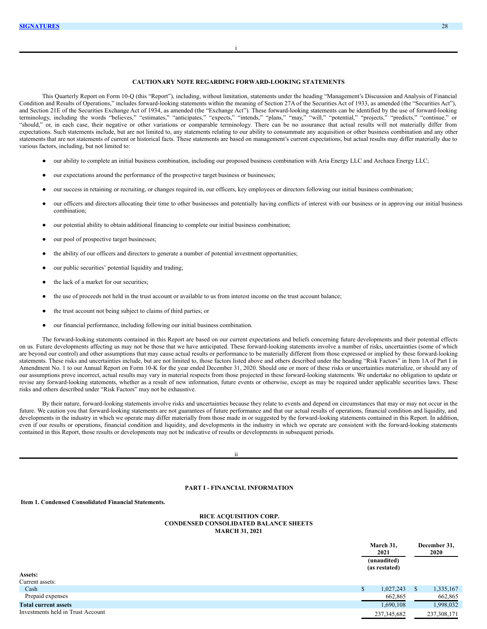# **CAUTIONARY NOTE REGARDING FORWARD-LOOKING STATEMENTS**

i

This Quarterly Report on Form 10-Q (this "Report"), including, without limitation, statements under the heading "Management's Discussion and Analysis of Financial Condition and Results of Operations," includes forward-looking statements within the meaning of Section 27A of the Securities Act of 1933, as amended (the "Securities Act"), and Section 21E of the Securities Exchange Act of 1934, as amended (the "Exchange Act"). These forward-looking statements can be identified by the use of forward-looking terminology, including the words "believes," "estimates," "anticipates," "expects," "intends," "plans," "may," "will," "potential," "projects," "predicts," "continue," or "should," or, in each case, their negative or other variations or comparable terminology. There can be no assurance that actual results will not materially differ from expectations. Such statements include, but are not limited to, any statements relating to our ability to consummate any acquisition or other business combination and any other statements that are not statements of current or historical facts. These statements are based on management's current expectations, but actual results may differ materially due to various factors, including, but not limited to:

- our ability to complete an initial business combination, including our proposed business combination with Aria Energy LLC and Archaea Energy LLC;
- our expectations around the performance of the prospective target business or businesses;
- our success in retaining or recruiting, or changes required in, our officers, key employees or directors following our initial business combination;
- our officers and directors allocating their time to other businesses and potentially having conflicts of interest with our business or in approving our initial business combination;
- our potential ability to obtain additional financing to complete our initial business combination;
- our pool of prospective target businesses;
- the ability of our officers and directors to generate a number of potential investment opportunities;
- our public securities' potential liquidity and trading;
- the lack of a market for our securities:
- the use of proceeds not held in the trust account or available to us from interest income on the trust account balance;
- the trust account not being subject to claims of third parties; or
- our financial performance, including following our initial business combination.

The forward-looking statements contained in this Report are based on our current expectations and beliefs concerning future developments and their potential effects on us. Future developments affecting us may not be those that we have anticipated. These forward-looking statements involve a number of risks, uncertainties (some of which are beyond our control) and other assumptions that may cause actual results or performance to be materially different from those expressed or implied by these forward-looking statements. These risks and uncertainties include, but are not limited to, those factors listed above and others described under the heading "Risk Factors" in Item 1A of Part I in Amendment No. 1 to our Annual Report on Form 10-K for the year ended December 31, 2020. Should one or more of these risks or uncertainties materialize, or should any of our assumptions prove incorrect, actual results may vary in material respects from those projected in these forward-looking statements. We undertake no obligation to update or revise any forward-looking statements, whether as a result of new information, future events or otherwise, except as may be required under applicable securities laws. These risks and others described under "Risk Factors" may not be exhaustive.

By their nature, forward-looking statements involve risks and uncertainties because they relate to events and depend on circumstances that may or may not occur in the future. We caution you that forward-looking statements are not guarantees of future performance and that our actual results of operations, financial condition and liquidity, and developments in the industry in which we operate may differ materially from those made in or suggested by the forward-looking statements contained in this Report. In addition, even if our results or operations, financial condition and liquidity, and developments in the industry in which we operate are consistent with the forward-looking statements contained in this Report, those results or developments may not be indicative of results or developments in subsequent periods.

ii

### <span id="page-2-2"></span><span id="page-2-0"></span>**PART I - FINANCIAL INFORMATION**

#### <span id="page-2-1"></span>**Item 1. Condensed Consolidated Financial Statements.**

#### **RICE ACQUISITION CORP. CONDENSED CONSOLIDATED BALANCE SHEETS MARCH 31, 2021**

|                                   |   | March 31,<br>2021<br>(unaudited)<br>(as restated) |              | December 31,<br>2020 |
|-----------------------------------|---|---------------------------------------------------|--------------|----------------------|
| Assets:                           |   |                                                   |              |                      |
| Current assets:                   |   |                                                   |              |                      |
| Cash                              | S | 1,027,243                                         | <sup>S</sup> | 1,335,167            |
| Prepaid expenses                  |   | 662,865                                           |              | 662,865              |
| <b>Total current assets</b>       |   | 1,690,108                                         |              | 1,998,032            |
| Investments held in Trust Account |   | 237, 345, 682                                     |              | 237,308,171          |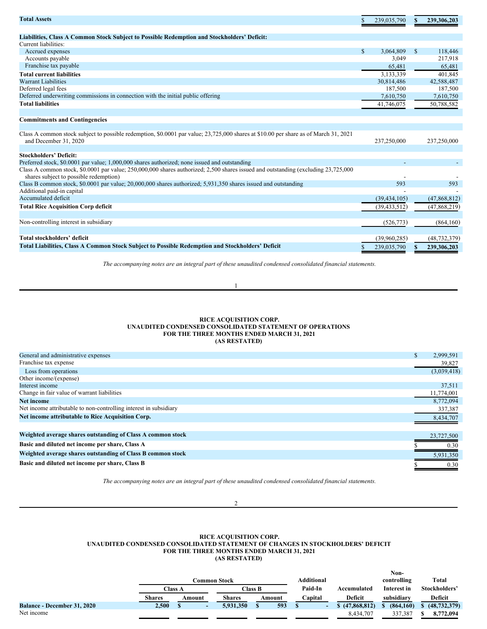| <b>Total Assets</b>                                                                                                                  |    | 239,035,790    | S            | 239,306,203    |
|--------------------------------------------------------------------------------------------------------------------------------------|----|----------------|--------------|----------------|
| Liabilities, Class A Common Stock Subject to Possible Redemption and Stockholders' Deficit:                                          |    |                |              |                |
| Current liabilities:                                                                                                                 |    |                |              |                |
| Accrued expenses                                                                                                                     | S  | 3.064.809      | $\mathbb{S}$ | 118,446        |
| Accounts payable                                                                                                                     |    | 3,049          |              | 217,918        |
| Franchise tax payable                                                                                                                |    | 65,481         |              | 65,481         |
| <b>Total current liabilities</b>                                                                                                     |    | 3,133,339      |              | 401,845        |
| <b>Warrant Liabilities</b>                                                                                                           |    | 30,814,486     |              | 42,588,487     |
| Deferred legal fees                                                                                                                  |    | 187,500        |              | 187,500        |
| Deferred underwriting commissions in connection with the initial public offering                                                     |    | 7,610,750      |              | 7,610,750      |
| <b>Total liabilities</b>                                                                                                             |    | 41,746,075     |              | 50,788,582     |
|                                                                                                                                      |    |                |              |                |
| <b>Commitments and Contingencies</b>                                                                                                 |    |                |              |                |
|                                                                                                                                      |    |                |              |                |
| Class A common stock subject to possible redemption, \$0,0001 par value; 23,725,000 shares at \$10.00 per share as of March 31, 2021 |    |                |              |                |
| and December 31, 2020                                                                                                                |    | 237,250,000    |              | 237,250,000    |
|                                                                                                                                      |    |                |              |                |
| <b>Stockholders' Deficit:</b>                                                                                                        |    |                |              |                |
| Preferred stock, \$0.0001 par value; 1,000,000 shares authorized; none issued and outstanding                                        |    |                |              |                |
| Class A common stock, \$0.0001 par value; 250,000,000 shares authorized; 2,500 shares issued and outstanding (excluding 23,725,000)  |    |                |              |                |
| shares subject to possible redemption)                                                                                               |    |                |              |                |
| Class B common stock, \$0.0001 par value; 20,000,000 shares authorized; 5,931,350 shares issued and outstanding                      |    | 593            |              | 593            |
| Additional paid-in capital                                                                                                           |    |                |              |                |
| Accumulated deficit                                                                                                                  |    | (39, 434, 105) |              | (47,868,812)   |
| <b>Total Rice Acquisition Corp deficit</b>                                                                                           |    | (39, 433, 512) |              | (47,868,219)   |
|                                                                                                                                      |    |                |              |                |
| Non-controlling interest in subsidiary                                                                                               |    | (526, 773)     |              | (864,160)      |
| Total stockholders' deficit                                                                                                          |    | (39,960,285)   |              | (48, 732, 379) |
| Total Liabilities, Class A Common Stock Subject to Possible Redemption and Stockholders' Deficit                                     | \$ | 239,035,790    | $\mathbf{s}$ | 239,306,203    |

*The accompanying notes are an integral part of these unaudited condensed consolidated financial statements.*

<span id="page-3-0"></span>1

# **RICE ACQUISITION CORP. UNAUDITED CONDENSED CONSOLIDATED STATEMENT OF OPERATIONS FOR THE THREE MONTHS ENDED MARCH 31, 2021 (AS RESTATED)**

| General and administrative expenses                               | 2,999,591   |
|-------------------------------------------------------------------|-------------|
| Franchise tax expense                                             | 39,827      |
| Loss from operations                                              | (3,039,418) |
| Other income/(expense)                                            |             |
| Interest income                                                   | 37,511      |
| Change in fair value of warrant liabilities                       | 11,774,001  |
| <b>Net income</b>                                                 | 8,772,094   |
| Net income attributable to non-controlling interest in subsidiary | 337,387     |
| Net income attributable to Rice Acquisition Corp.                 | 8,434,707   |
|                                                                   |             |
| Weighted average shares outstanding of Class A common stock       | 23,727,500  |
| Basic and diluted net income per share, Class A                   | 0.30        |
| Weighted average shares outstanding of Class B common stock       | 5,931,350   |
| Basic and diluted net income per share, Class B                   | 0.30        |
|                                                                   |             |

*The accompanying notes are an integral part of these unaudited condensed consolidated financial statements.*

<span id="page-3-1"></span> $\overline{2}$ 

# **RICE ACQUISITION CORP. UNAUDITED CONDENSED CONSOLIDATED STATEMENT OF CHANGES IN STOCKHOLDERS' DEFICIT FOR THE THREE MONTHS ENDED MARCH 31, 2021 (AS RESTATED)**

|                                    |        |         |               |         |        |            |                | Non-        |                |
|------------------------------------|--------|---------|---------------|---------|--------|------------|----------------|-------------|----------------|
|                                    |        |         | Common Stock  |         |        | Additional |                | controlling | Total          |
|                                    |        | Class A |               | Class B |        | Paid-In    | Accumulated    | Interest in | Stockholders'  |
|                                    | Shares | Amount  | <b>Shares</b> |         | Amount | Capital    | Deficit        | subsidiary  | Deficit        |
| <b>Balance - December 31, 2020</b> | 2,500  |         | 5,931,350     |         | 593    |            | \$(47,868,812) | (864.160)   | (48, 732, 379) |
| Net income                         |        |         |               |         |        |            | 8.434.707      | 337,387     | 8,772,094      |
|                                    |        |         |               |         |        |            |                |             |                |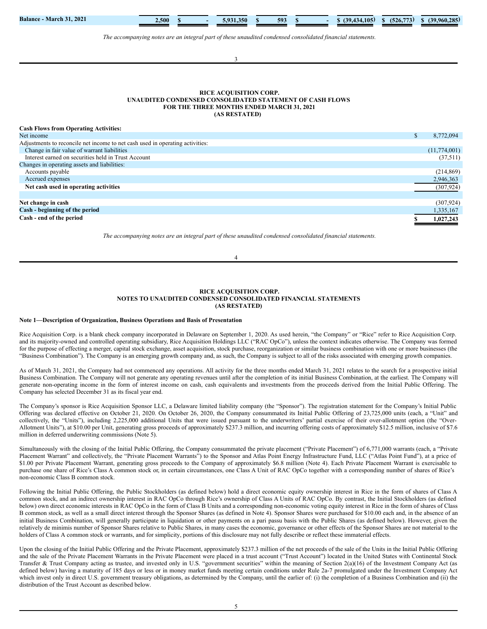| The accompanying notes are an integral part of these unaudited condensed consolidated financial statements. |     |              |
|-------------------------------------------------------------------------------------------------------------|-----|--------------|
|                                                                                                             |     |              |
|                                                                                                             |     |              |
| 3                                                                                                           |     |              |
|                                                                                                             |     |              |
|                                                                                                             |     |              |
|                                                                                                             |     |              |
| RICE ACQUISITION CORP.<br>UNAUDITED CONDENSED CONSOLIDATED STATEMENT OF CASH FLOWS                          |     |              |
| FOR THE THREE MONTHS ENDED MARCH 31, 2021                                                                   |     |              |
| (AS RESTATED)                                                                                               |     |              |
|                                                                                                             |     |              |
| <b>Cash Flows from Operating Activities:</b>                                                                |     |              |
| Net income                                                                                                  | \$. | 8,772,094    |
| Adjustments to reconcile net income to net cash used in operating activities:                               |     |              |
| Change in fair value of warrant liabilities                                                                 |     | (11,774,001) |
| Interest earned on securities held in Trust Account                                                         |     | (37,511)     |
| Changes in operating assets and liabilities:                                                                |     |              |
| Accounts payable                                                                                            |     | (214, 869)   |
| Accrued expenses                                                                                            |     | 2,946,363    |
| Net cash used in operating activities                                                                       |     | (307, 924)   |
|                                                                                                             |     |              |
| Net change in cash                                                                                          |     | (307, 924)   |
| Cash - beginning of the period                                                                              |     | 1,335,167    |
| Cash - end of the period                                                                                    |     | 1,027,243    |
|                                                                                                             |     |              |
| The accompanying notes are an integral part of these unaudited condensed consolidated financial statements. |     |              |

**Balance - March 31, 2021 2,500 \$ - 5,931,350 \$ 593 \$ - \$ (39,434,105) \$ (526,773) \$ (39,960,285)**

# **RICE ACQUISITION CORP. NOTES TO UNAUDITED CONDENSED CONSOLIDATED FINANCIAL STATEMENTS (AS RESTATED)**

<span id="page-4-1"></span><span id="page-4-0"></span>4

#### **Note 1—Description of Organization, Business Operations and Basis of Presentation**

Rice Acquisition Corp. is a blank check company incorporated in Delaware on September 1, 2020. As used herein, "the Company" or "Rice" refer to Rice Acquisition Corp. and its majority-owned and controlled operating subsidiary, Rice Acquisition Holdings LLC ("RAC OpCo"), unless the context indicates otherwise. The Company was formed for the purpose of effecting a merger, capital stock exchange, asset acquisition, stock purchase, reorganization or similar business combination with one or more businesses (the "Business Combination"). The Company is an emerging growth company and, as such, the Company is subject to all of the risks associated with emerging growth companies.

As of March 31, 2021, the Company had not commenced any operations. All activity for the three months ended March 31, 2021 relates to the search for a prospective initial Business Combination. The Company will not generate any operating revenues until after the completion of its initial Business Combination, at the earliest. The Company will generate non-operating income in the form of interest income on cash, cash equivalents and investments from the proceeds derived from the Initial Public Offering. The Company has selected December 31 as its fiscal year end.

The Company's sponsor is Rice Acquisition Sponsor LLC, a Delaware limited liability company (the "Sponsor"). The registration statement for the Company's Initial Public Offering was declared effective on October 21, 2020. On October 26, 2020, the Company consummated its Initial Public Offering of 23,725,000 units (each, a "Unit" and collectively, the "Units"), including 2,225,000 additional Units that were issued pursuant to the underwriters' partial exercise of their over-allotment option (the "Over-Allotment Units"), at \$10.00 per Unit, generating gross proceeds of approximately \$237.3 million, and incurring offering costs of approximately \$12.5 million, inclusive of \$7.6 million in deferred underwriting commissions (Note 5).

Simultaneously with the closing of the Initial Public Offering, the Company consummated the private placement ("Private Placement") of 6,771,000 warrants (each, a "Private Placement Warrant" and collectively, the "Private Placement Warrants") to the Sponsor and Atlas Point Energy Infrastructure Fund, LLC ("Atlas Point Fund"), at a price of \$1.00 per Private Placement Warrant, generating gross proceeds to the Company of approximately \$6.8 million (Note 4). Each Private Placement Warrant is exercisable to purchase one share of Rice's Class A common stock or, in certain circumstances, one Class A Unit of RAC OpCo together with a corresponding number of shares of Rice's non-economic Class B common stock.

Following the Initial Public Offering, the Public Stockholders (as defined below) hold a direct economic equity ownership interest in Rice in the form of shares of Class A common stock, and an indirect ownership interest in RAC OpCo through Rice's ownership of Class A Units of RAC OpCo. By contrast, the Initial Stockholders (as defined below) own direct economic interests in RAC OpCo in the form of Class B Units and a corresponding non-economic voting equity interest in Rice in the form of shares of Class B common stock, as well as a small direct interest through the Sponsor Shares (as defined in Note 4). Sponsor Shares were purchased for \$10.00 each and, in the absence of an initial Business Combination, will generally participate in liquidation or other payments on a pari passu basis with the Public Shares (as defined below). However, given the relatively de minimis number of Sponsor Shares relative to Public Shares, in many cases the economic, governance or other effects of the Sponsor Shares are not material to the holders of Class A common stock or warrants, and for simplicity, portions of this disclosure may not fully describe or reflect these immaterial effects.

Upon the closing of the Initial Public Offering and the Private Placement, approximately \$237.3 million of the net proceeds of the sale of the Units in the Initial Public Offering and the sale of the Private Placement Warrants in the Private Placement were placed in a trust account ("Trust Account") located in the United States with Continental Stock Transfer & Trust Company acting as trustee, and invested only in U.S. "government securities" within the meaning of Section 2(a)(16) of the Investment Company Act (as defined below) having a maturity of 185 days or less or in money market funds meeting certain conditions under Rule 2a-7 promulgated under the Investment Company Act which invest only in direct U.S. government treasury obligations, as determined by the Company, until the earlier of: (i) the completion of a Business Combination and (ii) the distribution of the Trust Account as described below.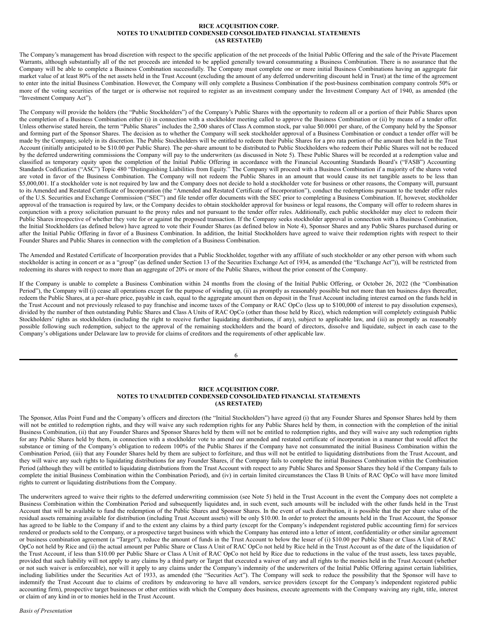### **RICE ACQUISITION CORP. NOTES TO UNAUDITED CONDENSED CONSOLIDATED FINANCIAL STATEMENTS (AS RESTATED)**

The Company's management has broad discretion with respect to the specific application of the net proceeds of the Initial Public Offering and the sale of the Private Placement Warrants, although substantially all of the net proceeds are intended to be applied generally toward consummating a Business Combination. There is no assurance that the Company will be able to complete a Business Combination successfully. The Company must complete one or more initial Business Combinations having an aggregate fair market value of at least 80% of the net assets held in the Trust Account (excluding the amount of any deferred underwriting discount held in Trust) at the time of the agreement to enter into the initial Business Combination. However, the Company will only complete a Business Combination if the post-business combination company controls 50% or more of the voting securities of the target or is otherwise not required to register as an investment company under the Investment Company Act of 1940, as amended (the "Investment Company Act").

The Company will provide the holders (the "Public Stockholders") of the Company's Public Shares with the opportunity to redeem all or a portion of their Public Shares upon the completion of a Business Combination either (i) in connection with a stockholder meeting called to approve the Business Combination or (ii) by means of a tender offer. Unless otherwise stated herein, the term "Public Shares" includes the 2,500 shares of Class A common stock, par value \$0.0001 per share, of the Company held by the Sponsor and forming part of the Sponsor Shares. The decision as to whether the Company will seek stockholder approval of a Business Combination or conduct a tender offer will be made by the Company, solely in its discretion. The Public Stockholders will be entitled to redeem their Public Shares for a pro rata portion of the amount then held in the Trust Account (initially anticipated to be \$10.00 per Public Share). The per-share amount to be distributed to Public Stockholders who redeem their Public Shares will not be reduced by the deferred underwriting commissions the Company will pay to the underwriters (as discussed in Note 5). These Public Shares will be recorded at a redemption value and classified as temporary equity upon the completion of the Initial Public Offering in accordance with the Financial Accounting Standards Board's ("FASB") Accounting Standards Codification ("ASC") Topic 480 "Distinguishing Liabilities from Equity." The Company will proceed with a Business Combination if a majority of the shares voted are voted in favor of the Business Combination. The Company will not redeem the Public Shares in an amount that would cause its net tangible assets to be less than \$5,000,001. If a stockholder vote is not required by law and the Company does not decide to hold a stockholder vote for business or other reasons, the Company will, pursuant to its Amended and Restated Certificate of Incorporation (the "Amended and Restated Certificate of Incorporation"), conduct the redemptions pursuant to the tender offer rules of the U.S. Securities and Exchange Commission ("SEC") and file tender offer documents with the SEC prior to completing a Business Combination. If, however, stockholder approval of the transaction is required by law, or the Company decides to obtain stockholder approval for business or legal reasons, the Company will offer to redeem shares in conjunction with a proxy solicitation pursuant to the proxy rules and not pursuant to the tender offer rules. Additionally, each public stockholder may elect to redeem their Public Shares irrespective of whether they vote for or against the proposed transaction. If the Company seeks stockholder approval in connection with a Business Combination, the Initial Stockholders (as defined below) have agreed to vote their Founder Shares (as defined below in Note 4), Sponsor Shares and any Public Shares purchased during or after the Initial Public Offering in favor of a Business Combination. In addition, the Initial Stockholders have agreed to waive their redemption rights with respect to their Founder Shares and Public Shares in connection with the completion of a Business Combination.

The Amended and Restated Certificate of Incorporation provides that a Public Stockholder, together with any affiliate of such stockholder or any other person with whom such stockholder is acting in concert or as a "group" (as defined under Section 13 of the Securities Exchange Act of 1934, as amended (the "Exchange Act")), will be restricted from redeeming its shares with respect to more than an aggregate of 20% or more of the Public Shares, without the prior consent of the Company.

If the Company is unable to complete a Business Combination within 24 months from the closing of the Initial Public Offering, or October 26, 2022 (the "Combination Period"), the Company will (i) cease all operations except for the purpose of winding up, (ii) as promptly as reasonably possible but not more than ten business days thereafter, redeem the Public Shares, at a per-share price, payable in cash, equal to the aggregate amount then on deposit in the Trust Account including interest earned on the funds held in the Trust Account and not previously released to pay franchise and income taxes of the Company or RAC OpCo (less up to \$100,000 of interest to pay dissolution expenses), divided by the number of then outstanding Public Shares and Class A Units of RAC OpCo (other than those held by Rice), which redemption will completely extinguish Public Stockholders' rights as stockholders (including the right to receive further liquidating distributions, if any), subject to applicable law, and (iii) as promptly as reasonably possible following such redemption, subject to the approval of the remaining stockholders and the board of directors, dissolve and liquidate, subject in each case to the Company's obligations under Delaware law to provide for claims of creditors and the requirements of other applicable law.

6

### **RICE ACQUISITION CORP. NOTES TO UNAUDITED CONDENSED CONSOLIDATED FINANCIAL STATEMENTS (AS RESTATED)**

The Sponsor, Atlas Point Fund and the Company's officers and directors (the "Initial Stockholders") have agreed (i) that any Founder Shares and Sponsor Shares held by them will not be entitled to redemption rights, and they will waive any such redemption rights for any Public Shares held by them, in connection with the completion of the initial Business Combination, (ii) that any Founder Shares and Sponsor Shares held by them will not be entitled to redemption rights, and they will waive any such redemption rights for any Public Shares held by them, in connection with a stockholder vote to amend our amended and restated certificate of incorporation in a manner that would affect the substance or timing of the Company's obligation to redeem 100% of the Public Shares if the Company have not consummated the initial Business Combination within the Combination Period, (iii) that any Founder Shares held by them are subject to forfeiture, and thus will not be entitled to liquidating distributions from the Trust Account, and they will waive any such rights to liquidating distributions for any Founder Shares, if the Company fails to complete the initial Business Combination within the Combination Period (although they will be entitled to liquidating distributions from the Trust Account with respect to any Public Shares and Sponsor Shares they hold if the Company fails to complete the initial Business Combination within the Combination Period), and (iv) in certain limited circumstances the Class B Units of RAC OpCo will have more limited rights to current or liquidating distributions from the Company.

The underwriters agreed to waive their rights to the deferred underwriting commission (see Note 5) held in the Trust Account in the event the Company does not complete a Business Combination within the Combination Period and subsequently liquidates and, in such event, such amounts will be included with the other funds held in the Trust Account that will be available to fund the redemption of the Public Shares and Sponsor Shares. In the event of such distribution, it is possible that the per share value of the residual assets remaining available for distribution (including Trust Account assets) will be only \$10.00. In order to protect the amounts held in the Trust Account, the Sponsor has agreed to be liable to the Company if and to the extent any claims by a third party (except for the Company's independent registered public accounting firm) for services rendered or products sold to the Company, or a prospective target business with which the Company has entered into a letter of intent, confidentiality or other similar agreement or business combination agreement (a "Target"), reduce the amount of funds in the Trust Account to below the lesser of (i) \$10.00 per Public Share or Class A Unit of RAC OpCo not held by Rice and (ii) the actual amount per Public Share or Class A Unit of RAC OpCo not held by Rice held in the Trust Account as of the date of the liquidation of the Trust Account, if less than \$10.00 per Public Share or Class A Unit of RAC OpCo not held by Rice due to reductions in the value of the trust assets, less taxes payable, provided that such liability will not apply to any claims by a third party or Target that executed a waiver of any and all rights to the monies held in the Trust Account (whether or not such waiver is enforceable), nor will it apply to any claims under the Company's indemnity of the underwriters of the Initial Public Offering against certain liabilities, including liabilities under the Securities Act of 1933, as amended (the "Securities Act"). The Company will seek to reduce the possibility that the Sponsor will have to indemnify the Trust Account due to claims of creditors by endeavoring to have all vendors, service providers (except for the Company's independent registered public accounting firm), prospective target businesses or other entities with which the Company does business, execute agreements with the Company waiving any right, title, interest or claim of any kind in or to monies held in the Trust Account.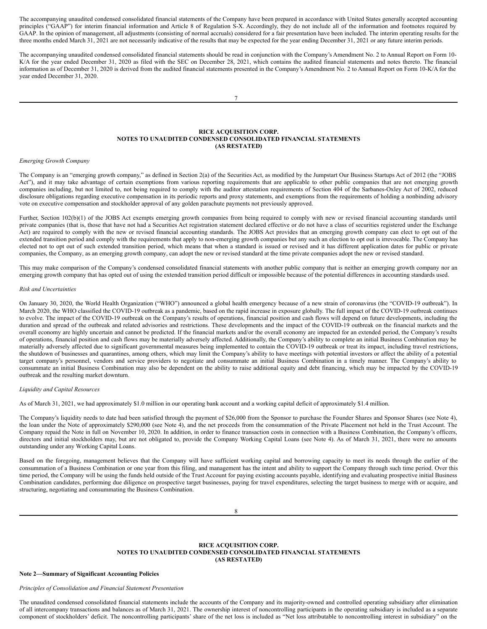The accompanying unaudited condensed consolidated financial statements of the Company have been prepared in accordance with United States generally accepted accounting principles ("GAAP") for interim financial information and Article 8 of Regulation S-X. Accordingly, they do not include all of the information and footnotes required by GAAP. In the opinion of management, all adjustments (consisting of normal accruals) considered for a fair presentation have been included. The interim operating results for the three months ended March 31, 2021 are not necessarily indicative of the results that may be expected for the year ending December 31, 2021 or any future interim periods.

The accompanying unaudited condensed consolidated financial statements should be read in conjunction with the Company's Amendment No. 2 to Annual Report on Form 10- K/A for the year ended December 31, 2020 as filed with the SEC on December 28, 2021, which contains the audited financial statements and notes thereto. The financial information as of December 31, 2020 is derived from the audited financial statements presented in the Company's Amendment No. 2 to Annual Report on Form 10-K/A for the year ended December 31, 2020.

### **RICE ACQUISITION CORP. NOTES TO UNAUDITED CONDENSED CONSOLIDATED FINANCIAL STATEMENTS (AS RESTATED)**

### *Emerging Growth Company*

The Company is an "emerging growth company," as defined in Section 2(a) of the Securities Act, as modified by the Jumpstart Our Business Startups Act of 2012 (the "JOBS Act"), and it may take advantage of certain exemptions from various reporting requirements that are applicable to other public companies that are not emerging growth companies including, but not limited to, not being required to comply with the auditor attestation requirements of Section 404 of the Sarbanes-Oxley Act of 2002, reduced disclosure obligations regarding executive compensation in its periodic reports and proxy statements, and exemptions from the requirements of holding a nonbinding advisory vote on executive compensation and stockholder approval of any golden parachute payments not previously approved.

Further, Section 102(b)(1) of the JOBS Act exempts emerging growth companies from being required to comply with new or revised financial accounting standards until private companies (that is, those that have not had a Securities Act registration statement declared effective or do not have a class of securities registered under the Exchange Act) are required to comply with the new or revised financial accounting standards. The JOBS Act provides that an emerging growth company can elect to opt out of the extended transition period and comply with the requirements that apply to non-emerging growth companies but any such an election to opt out is irrevocable. The Company has elected not to opt out of such extended transition period, which means that when a standard is issued or revised and it has different application dates for public or private companies, the Company, as an emerging growth company, can adopt the new or revised standard at the time private companies adopt the new or revised standard.

This may make comparison of the Company's condensed consolidated financial statements with another public company that is neither an emerging growth company nor an emerging growth company that has opted out of using the extended transition period difficult or impossible because of the potential differences in accounting standards used.

# *Risk and Uncertainties*

On January 30, 2020, the World Health Organization ("WHO") announced a global health emergency because of a new strain of coronavirus (the "COVID-19 outbreak"). In March 2020, the WHO classified the COVID-19 outbreak as a pandemic, based on the rapid increase in exposure globally. The full impact of the COVID-19 outbreak continues to evolve. The impact of the COVID-19 outbreak on the Company's results of operations, financial position and cash flows will depend on future developments, including the duration and spread of the outbreak and related advisories and restrictions. These developments and the impact of the COVID-19 outbreak on the financial markets and the overall economy are highly uncertain and cannot be predicted. If the financial markets and/or the overall economy are impacted for an extended period, the Company's results of operations, financial position and cash flows may be materially adversely affected. Additionally, the Company's ability to complete an initial Business Combination may be materially adversely affected due to significant governmental measures being implemented to contain the COVID-19 outbreak or treat its impact, including travel restrictions, the shutdown of businesses and quarantines, among others, which may limit the Company's ability to have meetings with potential investors or affect the ability of a potential target company's personnel, vendors and service providers to negotiate and consummate an initial Business Combination in a timely manner. The Company's ability to consummate an initial Business Combination may also be dependent on the ability to raise additional equity and debt financing, which may be impacted by the COVID-19 outbreak and the resulting market downturn.

#### *Liquidity and Capital Resources*

As of March 31, 2021, we had approximately \$1.0 million in our operating bank account and a working capital deficit of approximately \$1.4 million.

The Company's liquidity needs to date had been satisfied through the payment of \$26,000 from the Sponsor to purchase the Founder Shares and Sponsor Shares (see Note 4), the loan under the Note of approximately \$290,000 (see Note 4), and the net proceeds from the consummation of the Private Placement not held in the Trust Account. The Company repaid the Note in full on November 10, 2020. In addition, in order to finance transaction costs in connection with a Business Combination, the Company's officers, directors and initial stockholders may, but are not obligated to, provide the Company Working Capital Loans (see Note 4). As of March 31, 2021, there were no amounts outstanding under any Working Capital Loans.

Based on the foregoing, management believes that the Company will have sufficient working capital and borrowing capacity to meet its needs through the earlier of the consummation of a Business Combination or one year from this filing, and management has the intent and ability to support the Company through such time period. Over this time period, the Company will be using the funds held outside of the Trust Account for paying existing accounts payable, identifying and evaluating prospective initial Business Combination candidates, performing due diligence on prospective target businesses, paying for travel expenditures, selecting the target business to merge with or acquire, and structuring, negotiating and consummating the Business Combination.

# **RICE ACQUISITION CORP. NOTES TO UNAUDITED CONDENSED CONSOLIDATED FINANCIAL STATEMENTS (AS RESTATED)**

#### **Note 2—Summary of Significant Accounting Policies**

*Principles of Consolidation and Financial Statement Presentation*

The unaudited condensed consolidated financial statements include the accounts of the Company and its majority-owned and controlled operating subsidiary after elimination of all intercompany transactions and balances as of March 31, 2021. The ownership interest of noncontrolling participants in the operating subsidiary is included as a separate component of stockholders' deficit. The noncontrolling participants' share of the net loss is included as "Net loss attributable to noncontrolling interest in subsidiary" on the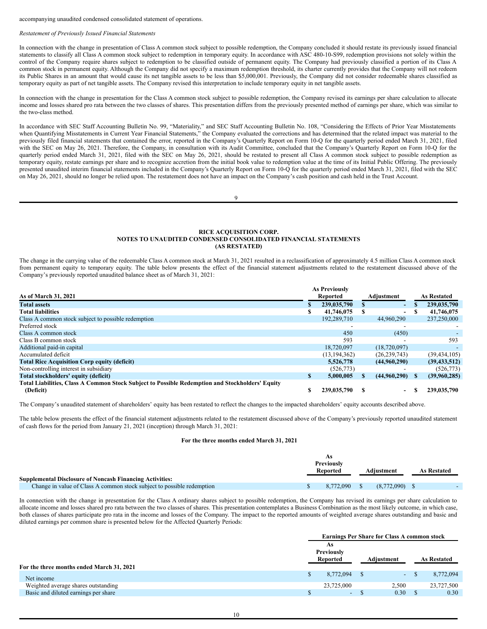accompanying unaudited condensed consolidated statement of operations.

### *Restatement of Previously Issued Financial Statements*

In connection with the change in presentation of Class A common stock subject to possible redemption, the Company concluded it should restate its previously issued financial statements to classify all Class A common stock subject to redemption in temporary equity. In accordance with ASC 480-10-S99, redemption provisions not solely within the control of the Company require shares subject to redemption to be classified outside of permanent equity. The Company had previously classified a portion of its Class A common stock in permanent equity. Although the Company did not specify a maximum redemption threshold, its charter currently provides that the Company will not redeem its Public Shares in an amount that would cause its net tangible assets to be less than \$5,000,001. Previously, the Company did not consider redeemable shares classified as temporary equity as part of net tangible assets. The Company revised this interpretation to include temporary equity in net tangible assets.

In connection with the change in presentation for the Class A common stock subject to possible redemption, the Company revised its earnings per share calculation to allocate income and losses shared pro rata between the two classes of shares. This presentation differs from the previously presented method of earnings per share, which was similar to the two-class method.

In accordance with SEC Staff Accounting Bulletin No. 99, "Materiality," and SEC Staff Accounting Bulletin No. 108, "Considering the Effects of Prior Year Misstatements when Quantifying Misstatements in Current Year Financial Statements," the Company evaluated the corrections and has determined that the related impact was material to the previously filed financial statements that contained the error, reported in the Company's Quarterly Report on Form 10-Q for the quarterly period ended March 31, 2021, filed with the SEC on May 26, 2021. Therefore, the Company, in consultation with its Audit Committee, concluded that the Company's Quarterly Report on Form 10-Q for the quarterly period ended March 31, 2021, filed with the SEC on May 26, 2021, should be restated to present all Class A common stock subject to possible redemption as temporary equity, restate earnings per share and to recognize accretion from the initial book value to redemption value at the time of its Initial Public Offering. The previously presented unaudited interim financial statements included in the Company's Quarterly Report on Form 10-Q for the quarterly period ended March 31, 2021, filed with the SEC on May 26, 2021, should no longer be relied upon. The restatement does not have an impact on the Company's cash position and cash held in the Trust Account.

 $\mathbf Q$ 

## **RICE ACQUISITION CORP. NOTES TO UNAUDITED CONDENSED CONSOLIDATED FINANCIAL STATEMENTS (AS RESTATED)**

The change in the carrying value of the redeemable Class A common stock at March 31, 2021 resulted in a reclassification of approximately 4.5 million Class A common stock from permanent equity to temporary equity. The table below presents the effect of the financial statement adjustments related to the restatement discussed above of the Company's previously reported unaudited balance sheet as of March 31, 2021:

|                                                                                                 | <b>As Previously</b> |   |                          |    |                    |
|-------------------------------------------------------------------------------------------------|----------------------|---|--------------------------|----|--------------------|
| As of March 31, 2021                                                                            | Reported             |   | Adjustment               |    | <b>As Restated</b> |
| <b>Total assets</b>                                                                             | 239,035,790          |   | $\sim$                   |    | 239,035,790        |
| <b>Total liabilities</b>                                                                        | 41,746,075           | S | $\blacksquare$           | £. | 41,746,075         |
| Class A common stock subject to possible redemption                                             | 192,289,710          |   | 44,960,290               |    | 237,250,000        |
| Preferred stock                                                                                 |                      |   |                          |    |                    |
| Class A common stock                                                                            | 450                  |   | (450)                    |    |                    |
| Class B common stock                                                                            | 593                  |   |                          |    | 593                |
| Additional paid-in capital                                                                      | 18,720,097           |   | (18.720.097)             |    |                    |
| Accumulated deficit                                                                             | (13, 194, 362)       |   | (26, 239, 743)           |    | (39, 434, 105)     |
| <b>Total Rice Acquisition Corp equity (deficit)</b>                                             | 5.526.778            |   | (44.960.290)             |    | (39, 433, 512)     |
| Non-controlling interest in subsidiary                                                          | (526, 773)           |   |                          |    | (526, 773)         |
| Total stockholders' equity (deficit)                                                            | 5,000,005            |   | (44.960.290)             | S. | (39,960,285)       |
| Total Liabilities, Class A Common Stock Subject to Possible Redemption and Stockholders' Equity |                      |   |                          |    |                    |
| (Deficit)                                                                                       | 239,035,790          |   | $\overline{\phantom{0}}$ |    | 239,035,790        |

The Company's unaudited statement of shareholders' equity has been restated to reflect the changes to the impacted shareholders' equity accounts described above.

The table below presents the effect of the financial statement adjustments related to the restatement discussed above of the Company's previously reported unaudited statement of cash flows for the period from January 21, 2021 (inception) through March 31, 2021:

# **For the three months ended March 31, 2021**

|                                                                        | As<br><b>Previously</b><br>Reported | Adiustment  | <b>As Restated</b> |  |
|------------------------------------------------------------------------|-------------------------------------|-------------|--------------------|--|
| <b>Supplemental Disclosure of Noncash Financing Activities:</b>        |                                     |             |                    |  |
| Change in value of Class A common stock subject to possible redemption | 8.772.090                           | (8.772.090) |                    |  |

In connection with the change in presentation for the Class A ordinary shares subject to possible redemption, the Company has revised its earnings per share calculation to allocate income and losses shared pro rata between the two classes of shares. This presentation contemplates a Business Combination as the most likely outcome, in which case, both classes of shares participate pro rata in the income and losses of the Company. The impact to the reported amounts of weighted average shares outstanding and basic and diluted earnings per common share is presented below for the Affected Quarterly Periods:

|                                           | <b>Earnings Per Share for Class A common stock</b> |  |            |  |                    |  |  |
|-------------------------------------------|----------------------------------------------------|--|------------|--|--------------------|--|--|
|                                           | As                                                 |  |            |  |                    |  |  |
|                                           | Previously                                         |  |            |  |                    |  |  |
|                                           | Reported                                           |  | Adiustment |  | <b>As Restated</b> |  |  |
| For the three months ended March 31, 2021 |                                                    |  |            |  |                    |  |  |
| Net income                                | 8,772,094                                          |  | $\sim$     |  | 8,772,094          |  |  |
| Weighted average shares outstanding       | 23,725,000                                         |  | 2.500      |  | 23,727,500         |  |  |
| Basic and diluted earnings per share      | $\sim$                                             |  | 0.30       |  | 0.30               |  |  |
|                                           |                                                    |  |            |  |                    |  |  |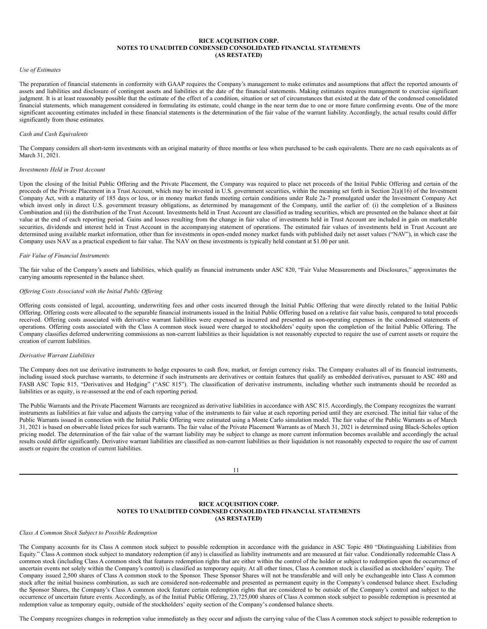## **RICE ACQUISITION CORP. NOTES TO UNAUDITED CONDENSED CONSOLIDATED FINANCIAL STATEMENTS (AS RESTATED)**

### *Use of Estimates*

The preparation of financial statements in conformity with GAAP requires the Company's management to make estimates and assumptions that affect the reported amounts of assets and liabilities and disclosure of contingent assets and liabilities at the date of the financial statements. Making estimates requires management to exercise significant judgment. It is at least reasonably possible that the estimate of the effect of a condition, situation or set of circumstances that existed at the date of the condensed consolidated financial statements, which management considered in formulating its estimate, could change in the near term due to one or more future confirming events. One of the more significant accounting estimates included in these financial statements is the determination of the fair value of the warrant liability. Accordingly, the actual results could differ significantly from those estimates.

#### *Cash and Cash Equivalents*

The Company considers all short-term investments with an original maturity of three months or less when purchased to be cash equivalents. There are no cash equivalents as of March 31, 2021.

### *Investments Held in Trust Account*

Upon the closing of the Initial Public Offering and the Private Placement, the Company was required to place net proceeds of the Initial Public Offering and certain of the proceeds of the Private Placement in a Trust Account, which may be invested in U.S. government securities, within the meaning set forth in Section 2(a)(16) of the Investment Company Act, with a maturity of 185 days or less, or in money market funds meeting certain conditions under Rule 2a-7 promulgated under the Investment Company Act which invest only in direct U.S. government treasury obligations, as determined by management of the Company, until the earlier of: (i) the completion of a Business Combination and (ii) the distribution of the Trust Account. Investments held in Trust Account are classified as trading securities, which are presented on the balance sheet at fair value at the end of each reporting period. Gains and losses resulting from the change in fair value of investments held in Trust Account are included in gain on marketable securities, dividends and interest held in Trust Account in the accompanying statement of operations. The estimated fair values of investments held in Trust Account are determined using available market information, other than for investments in open-ended money market funds with published daily net asset values ("NAV"), in which case the Company uses NAV as a practical expedient to fair value. The NAV on these investments is typically held constant at \$1.00 per unit.

#### *Fair Value of Financial Instruments*

The fair value of the Company's assets and liabilities, which qualify as financial instruments under ASC 820, "Fair Value Measurements and Disclosures," approximates the carrying amounts represented in the balance sheet.

## *Of ering Costs Associated with the Initial Public Of ering*

Offering costs consisted of legal, accounting, underwriting fees and other costs incurred through the Initial Public Offering that were directly related to the Initial Public Offering. Offering costs were allocated to the separable financial instruments issued in the Initial Public Offering based on a relative fair value basis, compared to total proceeds received. Offering costs associated with derivative warrant liabilities were expensed as incurred and presented as non-operating expenses in the condensed statements of operations. Offering costs associated with the Class A common stock issued were charged to stockholders' equity upon the completion of the Initial Public Offering. The Company classifies deferred underwriting commissions as non-current liabilities as their liquidation is not reasonably expected to require the use of current assets or require the creation of current liabilities.

#### *Derivative Warrant Liabilities*

The Company does not use derivative instruments to hedge exposures to cash flow, market, or foreign currency risks. The Company evaluates all of its financial instruments, including issued stock purchase warrants, to determine if such instruments are derivatives or contain features that qualify as embedded derivatives, pursuant to ASC 480 and FASB ASC Topic 815, "Derivatives and Hedging" ("ASC 815"). The classification of derivative instruments, including whether such instruments should be recorded as liabilities or as equity, is re-assessed at the end of each reporting period.

The Public Warrants and the Private Placement Warrants are recognized as derivative liabilities in accordance with ASC 815. Accordingly, the Company recognizes the warrant instruments as liabilities at fair value and adjusts the carrying value of the instruments to fair value at each reporting period until they are exercised. The initial fair value of the Public Warrants issued in connection with the Initial Public Offering were estimated using a Monte Carlo simulation model. The fair value of the Public Warrants as of March 31, 2021 is based on observable listed prices for such warrants. The fair value of the Private Placement Warrants as of March 31, 2021 is determined using Black-Scholes option pricing model. The determination of the fair value of the warrant liability may be subject to change as more current information becomes available and accordingly the actual results could differ significantly. Derivative warrant liabilities are classified as non-current liabilities as their liquidation is not reasonably expected to require the use of current assets or require the creation of current liabilities.

### **RICE ACQUISITION CORP. NOTES TO UNAUDITED CONDENSED CONSOLIDATED FINANCIAL STATEMENTS (AS RESTATED)**

### *Class A Common Stock Subject to Possible Redemption*

The Company accounts for its Class A common stock subject to possible redemption in accordance with the guidance in ASC Topic 480 "Distinguishing Liabilities from Equity." Class A common stock subject to mandatory redemption (if any) is classified as liability instruments and are measured at fair value. Conditionally redeemable Class A common stock (including Class A common stock that features redemption rights that are either within the control of the holder or subject to redemption upon the occurrence of uncertain events not solely within the Company's control) is classified as temporary equity. At all other times, Class A common stock is classified as stockholders' equity. The Company issued 2,500 shares of Class A common stock to the Sponsor. These Sponsor Shares will not be transferable and will only be exchangeable into Class A common stock after the initial business combination, as such are considered non-redeemable and presented as permanent equity in the Company's condensed balance sheet. Excluding the Sponsor Shares, the Company's Class A common stock feature certain redemption rights that are considered to be outside of the Company's control and subject to the occurrence of uncertain future events. Accordingly, as of the Initial Public Offering, 23,725,000 shares of Class A common stock subject to possible redemption is presented at redemption value as temporary equity, outside of the stockholders' equity section of the Company's condensed balance sheets.

The Company recognizes changes in redemption value immediately as they occur and adjusts the carrying value of the Class A common stock subject to possible redemption to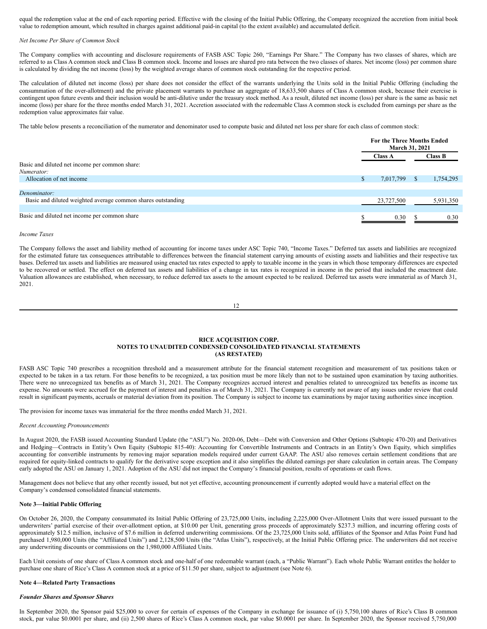equal the redemption value at the end of each reporting period. Effective with the closing of the Initial Public Offering, the Company recognized the accretion from initial book value to redemption amount, which resulted in charges against additional paid-in capital (to the extent available) and accumulated deficit.

#### *Net Income Per Share of Common Stock*

The Company complies with accounting and disclosure requirements of FASB ASC Topic 260, "Earnings Per Share." The Company has two classes of shares, which are referred to as Class A common stock and Class B common stock. Income and losses are shared pro rata between the two classes of shares. Net income (loss) per common share is calculated by dividing the net income (loss) by the weighted average shares of common stock outstanding for the respective period.

The calculation of diluted net income (loss) per share does not consider the effect of the warrants underlying the Units sold in the Initial Public Offering (including the consummation of the over-allotment) and the private placement warrants to purchase an aggregate of 18,633,500 shares of Class A common stock, because their exercise is contingent upon future events and their inclusion would be anti-dilutive under the treasury stock method. As a result, diluted net income (loss) per share is the same as basic net income (loss) per share for the three months ended March 31, 2021. Accretion associated with the redeemable Class A common stock is excluded from earnings per share as the redemption value approximates fair value.

The table below presents a reconciliation of the numerator and denominator used to compute basic and diluted net loss per share for each class of common stock:

|                                                              |    | <b>For the Three Months Ended</b><br>March 31, 2021 |    |           |  |
|--------------------------------------------------------------|----|-----------------------------------------------------|----|-----------|--|
|                                                              |    | <b>Class B</b><br><b>Class A</b>                    |    |           |  |
| Basic and diluted net income per common share:               |    |                                                     |    |           |  |
| Numerator:                                                   |    |                                                     |    |           |  |
| Allocation of net income                                     | S. | 7,017,799                                           | S. | 1,754,295 |  |
|                                                              |    |                                                     |    |           |  |
| Denominator:                                                 |    |                                                     |    |           |  |
| Basic and diluted weighted average common shares outstanding |    | 23,727,500                                          |    | 5,931,350 |  |
|                                                              |    |                                                     |    |           |  |
| Basic and diluted net income per common share                |    | 0.30                                                |    | 0.30      |  |

#### *Income Taxes*

The Company follows the asset and liability method of accounting for income taxes under ASC Topic 740, "Income Taxes." Deferred tax assets and liabilities are recognized for the estimated future tax consequences attributable to differences between the financial statement carrying amounts of existing assets and liabilities and their respective tax bases. Deferred tax assets and liabilities are measured using enacted tax rates expected to apply to taxable income in the years in which those temporary differences are expected to be recovered or settled. The effect on deferred tax assets and liabilities of a change in tax rates is recognized in income in the period that included the enactment date. Valuation allowances are established, when necessary, to reduce deferred tax assets to the amount expected to be realized. Deferred tax assets were immaterial as of March 31, 2021.

12

### **RICE ACQUISITION CORP. NOTES TO UNAUDITED CONDENSED CONSOLIDATED FINANCIAL STATEMENTS (AS RESTATED)**

FASB ASC Topic 740 prescribes a recognition threshold and a measurement attribute for the financial statement recognition and measurement of tax positions taken or expected to be taken in a tax return. For those benefits to be recognized, a tax position must be more likely than not to be sustained upon examination by taxing authorities. There were no unrecognized tax benefits as of March 31, 2021. The Company recognizes accrued interest and penalties related to unrecognized tax benefits as income tax expense. No amounts were accrued for the payment of interest and penalties as of March 31, 2021. The Company is currently not aware of any issues under review that could result in significant payments, accruals or material deviation from its position. The Company is subject to income tax examinations by major taxing authorities since inception.

The provision for income taxes was immaterial for the three months ended March 31, 2021.

#### *Recent Accounting Pronouncements*

In August 2020, the FASB issued Accounting Standard Update (the "ASU") No. 2020-06, Debt—Debt with Conversion and Other Options (Subtopic 470-20) and Derivatives and Hedging—Contracts in Entity's Own Equity (Subtopic 815-40): Accounting for Convertible Instruments and Contracts in an Entity's Own Equity, which simplifies accounting for convertible instruments by removing major separation models required under current GAAP. The ASU also removes certain settlement conditions that are required for equity-linked contracts to qualify for the derivative scope exception and it also simplifies the diluted earnings per share calculation in certain areas. The Company early adopted the ASU on January 1, 2021. Adoption of the ASU did not impact the Company's financial position, results of operations or cash flows.

Management does not believe that any other recently issued, but not yet effective, accounting pronouncement if currently adopted would have a material effect on the Company's condensed consolidated financial statements.

#### **Note 3—Initial Public Offering**

On October 26, 2020, the Company consummated its Initial Public Offering of 23,725,000 Units, including 2,225,000 Over-Allotment Units that were issued pursuant to the underwriters' partial exercise of their over-allotment option, at \$10.00 per Unit, generating gross proceeds of approximately \$237.3 million, and incurring offering costs of approximately \$12.5 million, inclusive of \$7.6 million in deferred underwriting commissions. Of the 23,725,000 Units sold, affiliates of the Sponsor and Atlas Point Fund had purchased 1,980,000 Units (the "Affiliated Units") and 2,128,500 Units (the "Atlas Units"), respectively, at the Initial Public Offering price. The underwriters did not receive any underwriting discounts or commissions on the 1,980,000 Affiliated Units.

Each Unit consists of one share of Class A common stock and one-half of one redeemable warrant (each, a "Public Warrant"). Each whole Public Warrant entitles the holder to purchase one share of Rice's Class A common stock at a price of \$11.50 per share, subject to adjustment (see Note 6).

#### **Note 4—Related Party Transactions**

# *Founder Shares and Sponsor Shares*

In September 2020, the Sponsor paid \$25,000 to cover for certain of expenses of the Company in exchange for issuance of (i) 5,750,100 shares of Rice's Class B common stock, par value \$0.0001 per share, and (ii) 2,500 shares of Rice's Class A common stock, par value \$0.0001 per share. In September 2020, the Sponsor received 5,750,000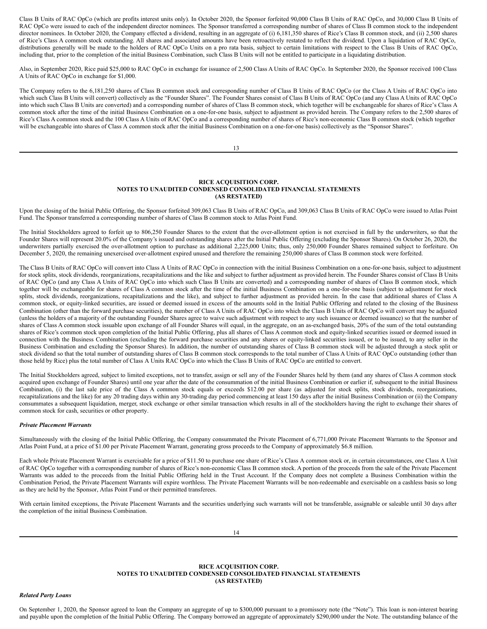Class B Units of RAC OpCo (which are profits interest units only). In October 2020, the Sponsor forfeited 90,000 Class B Units of RAC OpCo, and 30,000 Class B Units of RAC OpCo were issued to each of the independent director nominees. The Sponsor transferred a corresponding number of shares of Class B common stock to the independent director nominees. In October 2020, the Company effected a dividend, resulting in an aggregate of (i) 6,181,350 shares of Rice's Class B common stock, and (ii) 2,500 shares of Rice's Class A common stock outstanding. All shares and associated amounts have been retroactively restated to reflect the dividend. Upon a liquidation of RAC OpCo, distributions generally will be made to the holders of RAC OpCo Units on a pro rata basis, subject to certain limitations with respect to the Class B Units of RAC OpCo, including that, prior to the completion of the initial Business Combination, such Class B Units will not be entitled to participate in a liquidating distribution.

Also, in September 2020, Rice paid \$25,000 to RAC OpCo in exchange for issuance of 2,500 Class A Units of RAC OpCo. In September 2020, the Sponsor received 100 Class A Units of RAC OpCo in exchange for \$1,000.

The Company refers to the 6,181,250 shares of Class B common stock and corresponding number of Class B Units of RAC OpCo (or the Class A Units of RAC OpCo into which such Class B Units will convert) collectively as the "Founder Shares". The Founder Shares consist of Class B Units of RAC OpCo (and any Class A Units of RAC OpCo into which such Class B Units are converted) and a corresponding number of shares of Class B common stock, which together will be exchangeable for shares of Rice's Class A common stock after the time of the initial Business Combination on a one-for-one basis, subject to adjustment as provided herein. The Company refers to the 2,500 shares of Rice's Class A common stock and the 100 Class A Units of RAC OpCo and a corresponding number of shares of Rice's non-economic Class B common stock (which together will be exchangeable into shares of Class A common stock after the initial Business Combination on a one-for-one basis) collectively as the "Sponsor Shares".

13

### **RICE ACQUISITION CORP. NOTES TO UNAUDITED CONDENSED CONSOLIDATED FINANCIAL STATEMENTS (AS RESTATED)**

Upon the closing of the Initial Public Offering, the Sponsor forfeited 309,063 Class B Units of RAC OpCo, and 309,063 Class B Units of RAC OpCo were issued to Atlas Point Fund. The Sponsor transferred a corresponding number of shares of Class B common stock to Atlas Point Fund.

The Initial Stockholders agreed to forfeit up to 806,250 Founder Shares to the extent that the over-allotment option is not exercised in full by the underwriters, so that the Founder Shares will represent 20.0% of the Company's issued and outstanding shares after the Initial Public Offering (excluding the Sponsor Shares). On October 26, 2020, the underwriters partially exercised the over-allotment option to purchase as additional 2,225,000 Units; thus, only 250,000 Founder Shares remained subject to forfeiture. On December 5, 2020, the remaining unexercised over-allotment expired unused and therefore the remaining 250,000 shares of Class B common stock were forfeited.

The Class B Units of RAC OpCo will convert into Class A Units of RAC OpCo in connection with the initial Business Combination on a one-for-one basis, subject to adjustment for stock splits, stock dividends, reorganizations, recapitalizations and the like and subject to further adjustment as provided herein. The Founder Shares consist of Class B Units of RAC OpCo (and any Class A Units of RAC OpCo into which such Class B Units are converted) and a corresponding number of shares of Class B common stock, which together will be exchangeable for shares of Class A common stock after the time of the initial Business Combination on a one-for-one basis (subject to adjustment for stock splits, stock dividends, reorganizations, recapitalizations and the like), and subject to further adjustment as provided herein. In the case that additional shares of Class A common stock, or equity-linked securities, are issued or deemed issued in excess of the amounts sold in the Initial Public Offering and related to the closing of the Business Combination (other than the forward purchase securities), the number of Class A Units of RAC OpCo into which the Class B Units of RAC OpCo will convert may be adjusted (unless the holders of a majority of the outstanding Founder Shares agree to waive such adjustment with respect to any such issuance or deemed issuance) so that the number of shares of Class A common stock issuable upon exchange of all Founder Shares will equal, in the aggregate, on an as-exchanged basis, 20% of the sum of the total outstanding shares of Rice's common stock upon completion of the Initial Public Offering, plus all shares of Class A common stock and equity-linked securities issued or deemed issued in connection with the Business Combination (excluding the forward purchase securities and any shares or equity-linked securities issued, or to be issued, to any seller in the Business Combination and excluding the Sponsor Shares). In addition, the number of outstanding shares of Class B common stock will be adjusted through a stock split or stock dividend so that the total number of outstanding shares of Class B common stock corresponds to the total number of Class A Units of RAC OpCo outstanding (other than those held by Rice) plus the total number of Class A Units RAC OpCo into which the Class B Units of RAC OpCo are entitled to convert.

The Initial Stockholders agreed, subject to limited exceptions, not to transfer, assign or sell any of the Founder Shares held by them (and any shares of Class A common stock acquired upon exchange of Founder Shares) until one year after the date of the consummation of the initial Business Combination or earlier if, subsequent to the initial Business Combination, (i) the last sale price of the Class A common stock equals or exceeds \$12.00 per share (as adjusted for stock splits, stock dividends, reorganizations, recapitalizations and the like) for any 20 trading days within any 30-trading day period commencing at least 150 days after the initial Business Combination or (ii) the Company consummates a subsequent liquidation, merger, stock exchange or other similar transaction which results in all of the stockholders having the right to exchange their shares of common stock for cash, securities or other property.

# *Private Placement Warrants*

Simultaneously with the closing of the Initial Public Offering, the Company consummated the Private Placement of 6,771,000 Private Placement Warrants to the Sponsor and Atlas Point Fund, at a price of \$1.00 per Private Placement Warrant, generating gross proceeds to the Company of approximately \$6.8 million.

Each whole Private Placement Warrant is exercisable for a price of \$11.50 to purchase one share of Rice's Class A common stock or, in certain circumstances, one Class A Unit of RAC OpCo together with a corresponding number of shares of Rice's non-economic Class B common stock. A portion of the proceeds from the sale of the Private Placement Warrants was added to the proceeds from the Initial Public Offering held in the Trust Account. If the Company does not complete a Business Combination within the Combination Period, the Private Placement Warrants will expire worthless. The Private Placement Warrants will be non-redeemable and exercisable on a cashless basis so long as they are held by the Sponsor, Atlas Point Fund or their permitted transferees.

With certain limited exceptions, the Private Placement Warrants and the securities underlying such warrants will not be transferable, assignable or saleable until 30 days after the completion of the initial Business Combination.

14

# **RICE ACQUISITION CORP. NOTES TO UNAUDITED CONDENSED CONSOLIDATED FINANCIAL STATEMENTS (AS RESTATED)**

*Related Party Loans*

On September 1, 2020, the Sponsor agreed to loan the Company an aggregate of up to \$300,000 pursuant to a promissory note (the "Note"). This loan is non-interest bearing and payable upon the completion of the Initial Public Offering. The Company borrowed an aggregate of approximately \$290,000 under the Note. The outstanding balance of the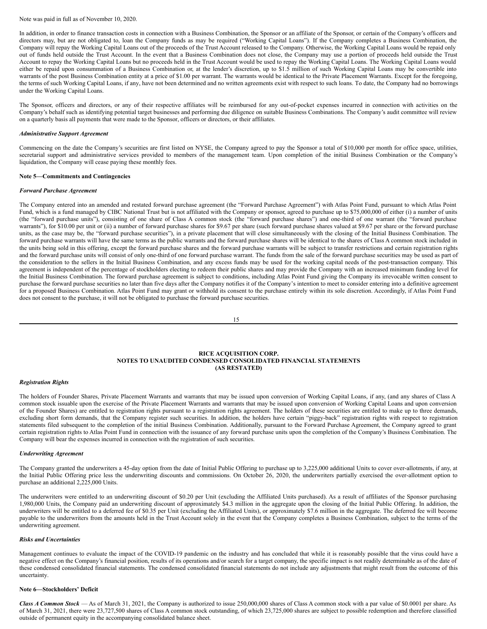#### Note was paid in full as of November 10, 2020.

In addition, in order to finance transaction costs in connection with a Business Combination, the Sponsor or an affiliate of the Sponsor, or certain of the Company's officers and directors may, but are not obligated to, loan the Company funds as may be required ("Working Capital Loans"). If the Company completes a Business Combination, the Company will repay the Working Capital Loans out of the proceeds of the Trust Account released to the Company. Otherwise, the Working Capital Loans would be repaid only out of funds held outside the Trust Account. In the event that a Business Combination does not close, the Company may use a portion of proceeds held outside the Trust Account to repay the Working Capital Loans but no proceeds held in the Trust Account would be used to repay the Working Capital Loans. The Working Capital Loans would either be repaid upon consummation of a Business Combination or, at the lender's discretion, up to \$1.5 million of such Working Capital Loans may be convertible into warrants of the post Business Combination entity at a price of \$1.00 per warrant. The warrants would be identical to the Private Placement Warrants. Except for the foregoing, the terms of such Working Capital Loans, if any, have not been determined and no written agreements exist with respect to such loans. To date, the Company had no borrowings under the Working Capital Loans.

The Sponsor, officers and directors, or any of their respective affiliates will be reimbursed for any out-of-pocket expenses incurred in connection with activities on the Company's behalf such as identifying potential target businesses and performing due diligence on suitable Business Combinations. The Company's audit committee will review on a quarterly basis all payments that were made to the Sponsor, officers or directors, or their affiliates.

#### *Administrative Support Agreement*

Commencing on the date the Company's securities are first listed on NYSE, the Company agreed to pay the Sponsor a total of \$10,000 per month for office space, utilities, secretarial support and administrative services provided to members of the management team. Upon completion of the initial Business Combination or the Company's liquidation, the Company will cease paying these monthly fees.

#### **Note 5—Commitments and Contingencies**

### *Forward Purchase Agreement*

The Company entered into an amended and restated forward purchase agreement (the "Forward Purchase Agreement") with Atlas Point Fund, pursuant to which Atlas Point Fund, which is a fund managed by CIBC National Trust but is not affiliated with the Company or sponsor, agreed to purchase up to \$75,000,000 of either (i) a number of units (the "forward purchase units"), consisting of one share of Class A common stock (the "forward purchase shares") and one-third of one warrant (the "forward purchase warrants"), for \$10.00 per unit or (ii) a number of forward purchase shares for \$9.67 per share (such forward purchase shares valued at \$9.67 per share or the forward purchase units, as the case may be, the "forward purchase securities"), in a private placement that will close simultaneously with the closing of the Initial Business Combination. The forward purchase warrants will have the same terms as the public warrants and the forward purchase shares will be identical to the shares of Class A common stock included in the units being sold in this offering, except the forward purchase shares and the forward purchase warrants will be subject to transfer restrictions and certain registration rights and the forward purchase units will consist of only one-third of one forward purchase warrant. The funds from the sale of the forward purchase securities may be used as part of the consideration to the sellers in the Initial Business Combination, and any excess funds may be used for the working capital needs of the post-transaction company. This agreement is independent of the percentage of stockholders electing to redeem their public shares and may provide the Company with an increased minimum funding level for the Initial Business Combination. The forward purchase agreement is subject to conditions, including Atlas Point Fund giving the Company its irrevocable written consent to purchase the forward purchase securities no later than five days after the Company notifies it of the Company's intention to meet to consider entering into a definitive agreement for a proposed Business Combination. Atlas Point Fund may grant or withhold its consent to the purchase entirely within its sole discretion. Accordingly, if Atlas Point Fund does not consent to the purchase, it will not be obligated to purchase the forward purchase securities.

15

## **RICE ACQUISITION CORP. NOTES TO UNAUDITED CONDENSED CONSOLIDATED FINANCIAL STATEMENTS (AS RESTATED)**

#### *Registration Rights*

The holders of Founder Shares, Private Placement Warrants and warrants that may be issued upon conversion of Working Capital Loans, if any, (and any shares of Class A common stock issuable upon the exercise of the Private Placement Warrants and warrants that may be issued upon conversion of Working Capital Loans and upon conversion of the Founder Shares) are entitled to registration rights pursuant to a registration rights agreement. The holders of these securities are entitled to make up to three demands, excluding short form demands, that the Company register such securities. In addition, the holders have certain "piggy-back" registration rights with respect to registration statements filed subsequent to the completion of the initial Business Combination. Additionally, pursuant to the Forward Purchase Agreement, the Company agreed to grant certain registration rights to Atlas Point Fund in connection with the issuance of any forward purchase units upon the completion of the Company's Business Combination. The Company will bear the expenses incurred in connection with the registration of such securities.

#### *Underwriting Agreement*

The Company granted the underwriters a 45-day option from the date of Initial Public Offering to purchase up to 3,225,000 additional Units to cover over-allotments, if any, at the Initial Public Offering price less the underwriting discounts and commissions. On October 26, 2020, the underwriters partially exercised the over-allotment option to purchase an additional 2,225,000 Units.

The underwriters were entitled to an underwriting discount of \$0.20 per Unit (excluding the Affiliated Units purchased). As a result of affiliates of the Sponsor purchasing 1,980,000 Units, the Company paid an underwriting discount of approximately \$4.3 million in the aggregate upon the closing of the Initial Public Offering. In addition, the underwriters will be entitled to a deferred fee of \$0.35 per Unit (excluding the Affiliated Units), or approximately \$7.6 million in the aggregate. The deferred fee will become payable to the underwriters from the amounts held in the Trust Account solely in the event that the Company completes a Business Combination, subject to the terms of the underwriting agreement.

### *Risks and Uncertainties*

Management continues to evaluate the impact of the COVID-19 pandemic on the industry and has concluded that while it is reasonably possible that the virus could have a negative effect on the Company's financial position, results of its operations and/or search for a target company, the specific impact is not readily determinable as of the date of these condensed consolidated financial statements. The condensed consolidated financial statements do not include any adjustments that might result from the outcome of this uncertainty.

### **Note 6—Stockholders' Deficit**

*Class A Common Stock* — As of March 31, 2021, the Company is authorized to issue 250,000,000 shares of Class A common stock with a par value of \$0.0001 per share. As of March 31, 2021, there were 23,727,500 shares of Class A common stock outstanding, of which 23,725,000 shares are subject to possible redemption and therefore classified outside of permanent equity in the accompanying consolidated balance sheet.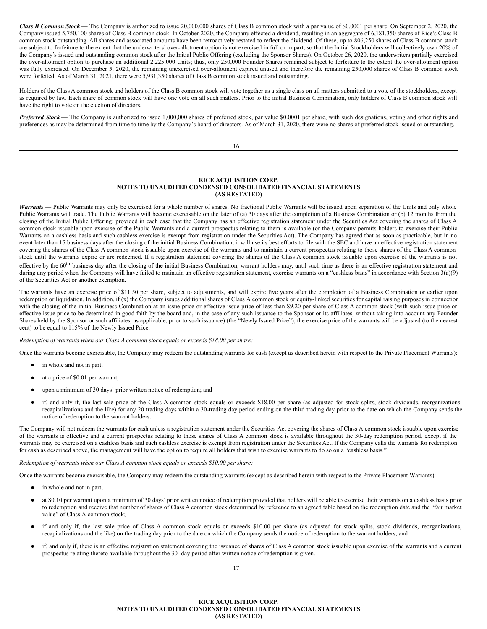*Class B Common Stock* — The Company is authorized to issue 20,000,000 shares of Class B common stock with a par value of \$0.0001 per share. On September 2, 2020, the Company issued 5,750,100 shares of Class B common stock. In October 2020, the Company effected a dividend, resulting in an aggregate of 6,181,350 shares of Rice's Class B common stock outstanding. All shares and associated amounts have been retroactively restated to reflect the dividend. Of these, up to 806,250 shares of Class B common stock are subject to forfeiture to the extent that the underwriters' over-allotment option is not exercised in full or in part, so that the Initial Stockholders will collectively own 20% of the Company's issued and outstanding common stock after the Initial Public Offering (excluding the Sponsor Shares). On October 26, 2020, the underwriters partially exercised the over-allotment option to purchase an additional 2,225,000 Units; thus, only 250,000 Founder Shares remained subject to forfeiture to the extent the over-allotment option was fully exercised. On December 5, 2020, the remaining unexercised over-allotment expired unused and therefore the remaining 250,000 shares of Class B common stock were forfeited. As of March 31, 2021, there were 5,931,350 shares of Class B common stock issued and outstanding.

Holders of the Class A common stock and holders of the Class B common stock will vote together as a single class on all matters submitted to a vote of the stockholders, except as required by law. Each share of common stock will have one vote on all such matters. Prior to the initial Business Combination, only holders of Class B common stock will have the right to vote on the election of directors.

*Preferred Stock* — The Company is authorized to issue 1,000,000 shares of preferred stock, par value \$0.0001 per share, with such designations, voting and other rights and preferences as may be determined from time to time by the Company's board of directors. As of March 31, 2020, there were no shares of preferred stock issued or outstanding.

16

### **RICE ACQUISITION CORP. NOTES TO UNAUDITED CONDENSED CONSOLIDATED FINANCIAL STATEMENTS (AS RESTATED)**

*Warrants* — Public Warrants may only be exercised for a whole number of shares. No fractional Public Warrants will be issued upon separation of the Units and only whole Public Warrants will trade. The Public Warrants will become exercisable on the later of (a) 30 days after the completion of a Business Combination or (b) 12 months from the closing of the Initial Public Offering; provided in each case that the Company has an effective registration statement under the Securities Act covering the shares of Class A common stock issuable upon exercise of the Public Warrants and a current prospectus relating to them is available (or the Company permits holders to exercise their Public Warrants on a cashless basis and such cashless exercise is exempt from registration under the Securities Act). The Company has agreed that as soon as practicable, but in no event later than 15 business days after the closing of the initial Business Combination, it will use its best efforts to file with the SEC and have an effective registration statement covering the shares of the Class A common stock issuable upon exercise of the warrants and to maintain a current prospectus relating to those shares of the Class A common stock until the warrants expire or are redeemed. If a registration statement covering the shares of the Class A common stock issuable upon exercise of the warrants is not effective by the 60<sup>th</sup> business day after the closing of the initial Business Combination, warrant holders may, until such time as there is an effective registration statement and during any period when the Company will have failed to maintain an effective registration statement, exercise warrants on a "cashless basis" in accordance with Section 3(a)(9) of the Securities Act or another exemption.

The warrants have an exercise price of \$11.50 per share, subject to adjustments, and will expire five years after the completion of a Business Combination or earlier upon redemption or liquidation. In addition, if (x) the Company issues additional shares of Class A common stock or equity-linked securities for capital raising purposes in connection with the closing of the initial Business Combination at an issue price or effective issue price of less than \$9.20 per share of Class A common stock (with such issue price or effective issue price to be determined in good faith by the board and, in the case of any such issuance to the Sponsor or its affiliates, without taking into account any Founder Shares held by the Sponsor or such affiliates, as applicable, prior to such issuance) (the "Newly Issued Price"), the exercise price of the warrants will be adjusted (to the nearest cent) to be equal to 115% of the Newly Issued Price.

*Redemption of warrants when our Class A common stock equals or exceeds \$18.00 per share:*

Once the warrants become exercisable, the Company may redeem the outstanding warrants for cash (except as described herein with respect to the Private Placement Warrants):

- in whole and not in part;
- at a price of \$0.01 per warrant;
- upon a minimum of 30 days' prior written notice of redemption; and
- if, and only if, the last sale price of the Class A common stock equals or exceeds \$18.00 per share (as adjusted for stock splits, stock dividends, reorganizations, recapitalizations and the like) for any 20 trading days within a 30-trading day period ending on the third trading day prior to the date on which the Company sends the notice of redemption to the warrant holders.

The Company will not redeem the warrants for cash unless a registration statement under the Securities Act covering the shares of Class A common stock issuable upon exercise of the warrants is effective and a current prospectus relating to those shares of Class A common stock is available throughout the 30-day redemption period, except if the warrants may be exercised on a cashless basis and such cashless exercise is exempt from registration under the Securities Act. If the Company calls the warrants for redemption for cash as described above, the management will have the option to require all holders that wish to exercise warrants to do so on a "cashless basis."

*Redemption of warrants when our Class A common stock equals or exceeds \$10.00 per share:*

Once the warrants become exercisable, the Company may redeem the outstanding warrants (except as described herein with respect to the Private Placement Warrants):

- in whole and not in part;
- at \$0.10 per warrant upon a minimum of 30 days' prior written notice of redemption provided that holders will be able to exercise their warrants on a cashless basis prior to redemption and receive that number of shares of Class A common stock determined by reference to an agreed table based on the redemption date and the "fair market value" of Class A common stock;
- if and only if, the last sale price of Class A common stock equals or exceeds \$10.00 per share (as adjusted for stock splits, stock dividends, reorganizations, recapitalizations and the like) on the trading day prior to the date on which the Company sends the notice of redemption to the warrant holders; and
- if, and only if, there is an effective registration statement covering the issuance of shares of Class A common stock issuable upon exercise of the warrants and a current prospectus relating thereto available throughout the 30- day period after written notice of redemption is given.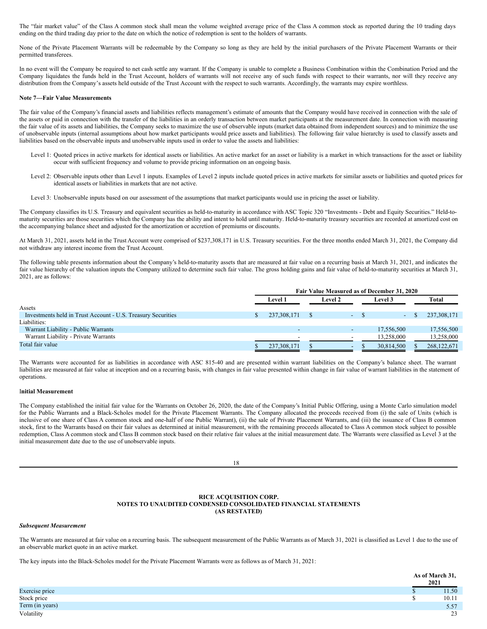The "fair market value" of the Class A common stock shall mean the volume weighted average price of the Class A common stock as reported during the 10 trading days ending on the third trading day prior to the date on which the notice of redemption is sent to the holders of warrants.

None of the Private Placement Warrants will be redeemable by the Company so long as they are held by the initial purchasers of the Private Placement Warrants or their permitted transferees.

In no event will the Company be required to net cash settle any warrant. If the Company is unable to complete a Business Combination within the Combination Period and the Company liquidates the funds held in the Trust Account, holders of warrants will not receive any of such funds with respect to their warrants, nor will they receive any distribution from the Company's assets held outside of the Trust Account with the respect to such warrants. Accordingly, the warrants may expire worthless.

### **Note 7—Fair Value Measurements**

The fair value of the Company's financial assets and liabilities reflects management's estimate of amounts that the Company would have received in connection with the sale of the assets or paid in connection with the transfer of the liabilities in an orderly transaction between market participants at the measurement date. In connection with measuring the fair value of its assets and liabilities, the Company seeks to maximize the use of observable inputs (market data obtained from independent sources) and to minimize the use of unobservable inputs (internal assumptions about how market participants would price assets and liabilities). The following fair value hierarchy is used to classify assets and liabilities based on the observable inputs and unobservable inputs used in order to value the assets and liabilities:

- Level 1: Quoted prices in active markets for identical assets or liabilities. An active market for an asset or liability is a market in which transactions for the asset or liability occur with sufficient frequency and volume to provide pricing information on an ongoing basis.
- Level 2: Observable inputs other than Level 1 inputs. Examples of Level 2 inputs include quoted prices in active markets for similar assets or liabilities and quoted prices for identical assets or liabilities in markets that are not active.
- Level 3: Unobservable inputs based on our assessment of the assumptions that market participants would use in pricing the asset or liability.

The Company classifies its U.S. Treasury and equivalent securities as held-to-maturity in accordance with ASC Topic 320 "Investments - Debt and Equity Securities." Held-tomaturity securities are those securities which the Company has the ability and intent to hold until maturity. Held-to-maturity treasury securities are recorded at amortized cost on the accompanying balance sheet and adjusted for the amortization or accretion of premiums or discounts.

At March 31, 2021, assets held in the Trust Account were comprised of \$237,308,171 in U.S. Treasury securities. For the three months ended March 31, 2021, the Company did not withdraw any interest income from the Trust Account.

The following table presents information about the Company's held-to-maturity assets that are measured at fair value on a recurring basis at March 31, 2021, and indicates the fair value hierarchy of the valuation inputs the Company utilized to determine such fair value. The gross holding gains and fair value of held-to-maturity securities at March 31, 2021, are as follows:

|                                                              | Fair Value Measured as of December 31, 2020 |                |  |                |                          |  |            |             |
|--------------------------------------------------------------|---------------------------------------------|----------------|--|----------------|--------------------------|--|------------|-------------|
|                                                              |                                             | <b>Level 1</b> |  | <b>Level 2</b> |                          |  | Level 3    | Total       |
| Assets                                                       |                                             |                |  |                |                          |  |            |             |
| Investments held in Trust Account - U.S. Treasury Securities |                                             | 237, 308, 171  |  |                | $-$ S                    |  | $\sim$     | 237,308,171 |
| Liabilities:                                                 |                                             |                |  |                |                          |  |            |             |
| Warrant Liability - Public Warrants                          |                                             |                |  |                | $\overline{\phantom{a}}$ |  | 17.556.500 | 17.556.500  |
| Warrant Liability - Private Warrants                         |                                             | -              |  |                | $\overline{\phantom{a}}$ |  | 13.258,000 | 13,258,000  |
| Total fair value                                             |                                             | 237, 308, 171  |  |                | $\overline{\phantom{0}}$ |  | 30,814,500 | 268,122,671 |

The Warrants were accounted for as liabilities in accordance with ASC 815-40 and are presented within warrant liabilities on the Company's balance sheet. The warrant liabilities are measured at fair value at inception and on a recurring basis, with changes in fair value presented within change in fair value of warrant liabilities in the statement of operations.

#### I**nitial Measurement**

The Company established the initial fair value for the Warrants on October 26, 2020, the date of the Company's Initial Public Offering, using a Monte Carlo simulation model for the Public Warrants and a Black-Scholes model for the Private Placement Warrants. The Company allocated the proceeds received from (i) the sale of Units (which is inclusive of one share of Class A common stock and one-half of one Public Warrant), (ii) the sale of Private Placement Warrants, and (iii) the issuance of Class B common stock, first to the Warrants based on their fair values as determined at initial measurement, with the remaining proceeds allocated to Class A common stock subject to possible redemption, Class A common stock and Class B common stock based on their relative fair values at the initial measurement date. The Warrants were classified as Level 3 at the initial measurement date due to the use of unobservable inputs.

18

# **RICE ACQUISITION CORP. NOTES TO UNAUDITED CONDENSED CONSOLIDATED FINANCIAL STATEMENTS (AS RESTATED)**

#### *Subsequent Measurement*

The Warrants are measured at fair value on a recurring basis. The subsequent measurement of the Public Warrants as of March 31, 2021 is classified as Level 1 due to the use of an observable market quote in an active market.

The key inputs into the Black-Scholes model for the Private Placement Warrants were as follows as of March 31, 2021:

|                 | As of March 31,<br>2021 |
|-----------------|-------------------------|
| Exercise price  | 11.50                   |
| Stock price     | 10.11                   |
| Term (in years) | 5.57                    |
| Volatility      | 23                      |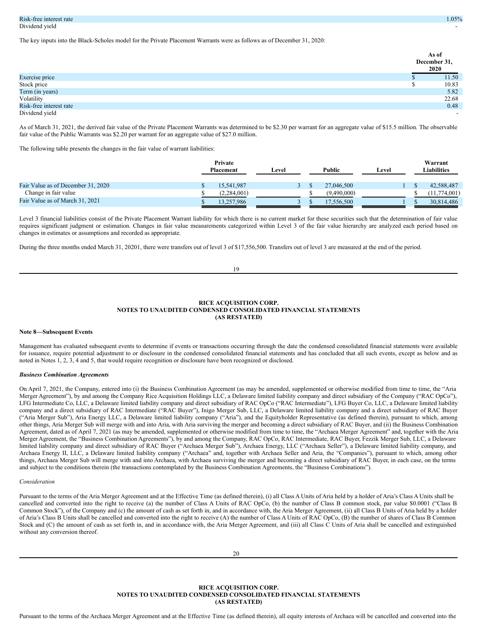The key inputs into the Black-Scholes model for the Private Placement Warrants were as follows as of December 31, 2020:

|                         | As of<br>December 31,<br>2020 |
|-------------------------|-------------------------------|
| Exercise price          | 11.50                         |
| Stock price             | 10.83                         |
| Term (in years)         | 5.82                          |
| Volatility              | 22.68                         |
| Risk-free interest rate | 0.48                          |
| Dividend yield          | $\overline{\phantom{0}}$      |

As of March 31, 2021, the derived fair value of the Private Placement Warrants was determined to be \$2.30 per warrant for an aggregate value of \$15.5 million. The observable fair value of the Public Warrants was \$2.20 per warrant for an aggregate value of \$27.0 million.

The following table presents the changes in the fair value of warrant liabilities:

|                                    | Private<br><b>Placement</b> |             | Level | Public<br>Level |             |  | Warrant<br>Liabilities |              |
|------------------------------------|-----------------------------|-------------|-------|-----------------|-------------|--|------------------------|--------------|
| Fair Value as of December 31, 2020 |                             | 15.541.987  |       |                 | 27,046,500  |  |                        | 42,588,487   |
| Change in fair value               |                             | (2.284.001) |       |                 | (9,490,000) |  |                        | (11.774.001) |
| Fair Value as of March 31, 2021    |                             | 13.257.986  |       |                 | 17,556,500  |  |                        | 30.814.486   |

Level 3 financial liabilities consist of the Private Placement Warrant liability for which there is no current market for these securities such that the determination of fair value requires significant judgment or estimation. Changes in fair value measurements categorized within Level 3 of the fair value hierarchy are analyzed each period based on changes in estimates or assumptions and recorded as appropriate.

During the three months ended March 31, 20201, there were transfers out of level 3 of \$17,556,500. Transfers out of level 3 are measured at the end of the period.

19

# **RICE ACQUISITION CORP. NOTES TO UNAUDITED CONDENSED CONSOLIDATED FINANCIAL STATEMENTS (AS RESTATED)**

### **Note 8—Subsequent Events**

Management has evaluated subsequent events to determine if events or transactions occurring through the date the condensed consolidated financial statements were available for issuance, require potential adjustment to or disclosure in the condensed consolidated financial statements and has concluded that all such events, except as below and as noted in Notes 1, 2, 3, 4 and 5, that would require recognition or disclosure have been recognized or disclosed.

#### *Business Combination Agreements*

On April 7, 2021, the Company, entered into (i) the Business Combination Agreement (as may be amended, supplemented or otherwise modified from time to time, the "Aria Merger Agreement"), by and among the Company Rice Acquisition Holdings LLC, a Delaware limited liability company and direct subsidiary of the Company ("RAC OpCo"), LFG Intermediate Co, LLC, a Delaware limited liability company and direct subsidiary of RAC OpCo ("RAC Intermediate"), LFG Buyer Co, LLC, a Delaware limited liability company and a direct subsidiary of RAC Intermediate ("RAC Buyer"), Inigo Merger Sub, LLC, a Delaware limited liability company and a direct subsidiary of RAC Buyer ("Aria Merger Sub"), Aria Energy LLC, a Delaware limited liability company ("Aria"), and the Equityholder Representative (as defined therein), pursuant to which, among other things, Aria Merger Sub will merge with and into Aria, with Aria surviving the merger and becoming a direct subsidiary of RAC Buyer, and (ii) the Business Combination Agreement, dated as of April 7, 2021 (as may be amended, supplemented or otherwise modified from time to time, the "Archaea Merger Agreement" and, together with the Aria Merger Agreement, the "Business Combination Agreements"), by and among the Company, RAC OpCo, RAC Intermediate, RAC Buyer, Fezzik Merger Sub, LLC, a Delaware limited liability company and direct subsidiary of RAC Buyer ("Archaea Merger Sub"), Archaea Energy, LLC ("Archaea Seller"), a Delaware limited liability company, and Archaea Energy II, LLC, a Delaware limited liability company ("Archaea" and, together with Archaea Seller and Aria, the "Companies"), pursuant to which, among other things, Archaea Merger Sub will merge with and into Archaea, with Archaea surviving the merger and becoming a direct subsidiary of RAC Buyer, in each case, on the terms and subject to the conditions therein (the transactions contemplated by the Business Combination Agreements, the "Business Combinations").

#### *Consideration*

Pursuant to the terms of the Aria Merger Agreement and at the Effective Time (as defined therein), (i) all Class A Units of Aria held by a holder of Aria's Class A Units shall be cancelled and converted into the right to receive (a) the number of Class A Units of RAC OpCo, (b) the number of Class B common stock, par value \$0.0001 ("Class B Common Stock"), of the Company and (c) the amount of cash as set forth in, and in accordance with, the Aria Merger Agreement, (ii) all Class B Units of Aria held by a holder of Aria's Class B Units shall be cancelled and converted into the right to receive (A) the number of Class A Units of RAC OpCo, (B) the number of shares of Class B Common Stock and (C) the amount of cash as set forth in, and in accordance with, the Aria Merger Agreement, and (iii) all Class C Units of Aria shall be cancelled and extinguished without any conversion thereof.

20

## **RICE ACQUISITION CORP. NOTES TO UNAUDITED CONDENSED CONSOLIDATED FINANCIAL STATEMENTS (AS RESTATED)**

Pursuant to the terms of the Archaea Merger Agreement and at the Effective Time (as defined therein), all equity interests of Archaea will be cancelled and converted into the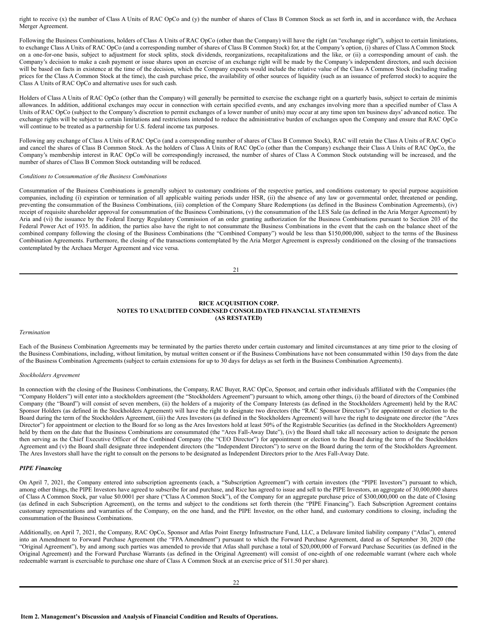right to receive (x) the number of Class A Units of RAC OpCo and (y) the number of shares of Class B Common Stock as set forth in, and in accordance with, the Archaea Merger Agreement.

Following the Business Combinations, holders of Class A Units of RAC OpCo (other than the Company) will have the right (an "exchange right"), subject to certain limitations, to exchange Class A Units of RAC OpCo (and a corresponding number of shares of Class B Common Stock) for, at the Company's option, (i) shares of Class A Common Stock on a one-for-one basis, subject to adjustment for stock splits, stock dividends, reorganizations, recapitalizations and the like, or (ii) a corresponding amount of cash. the Company's decision to make a cash payment or issue shares upon an exercise of an exchange right will be made by the Company's independent directors, and such decision will be based on facts in existence at the time of the decision, which the Company expects would include the relative value of the Class A Common Stock (including trading prices for the Class A Common Stock at the time), the cash purchase price, the availability of other sources of liquidity (such as an issuance of preferred stock) to acquire the Class A Units of RAC OpCo and alternative uses for such cash.

Holders of Class A Units of RAC OpCo (other than the Company) will generally be permitted to exercise the exchange right on a quarterly basis, subject to certain de minimis allowances. In addition, additional exchanges may occur in connection with certain specified events, and any exchanges involving more than a specified number of Class A Units of RAC OpCo (subject to the Company's discretion to permit exchanges of a lower number of units) may occur at any time upon ten business days' advanced notice. The exchange rights will be subject to certain limitations and restrictions intended to reduce the administrative burden of exchanges upon the Company and ensure that RAC OpCo will continue to be treated as a partnership for U.S. federal income tax purposes.

Following any exchange of Class A Units of RAC OpCo (and a corresponding number of shares of Class B Common Stock), RAC will retain the Class A Units of RAC OpCo and cancel the shares of Class B Common Stock. As the holders of Class A Units of RAC OpCo (other than the Company) exchange their Class A Units of RAC OpCo, the Company's membership interest in RAC OpCo will be correspondingly increased, the number of shares of Class A Common Stock outstanding will be increased, and the number of shares of Class B Common Stock outstanding will be reduced.

#### *Conditions to Consummation of the Business Combinations*

Consummation of the Business Combinations is generally subject to customary conditions of the respective parties, and conditions customary to special purpose acquisition companies, including (i) expiration or termination of all applicable waiting periods under HSR, (ii) the absence of any law or governmental order, threatened or pending, preventing the consummation of the Business Combinations, (iii) completion of the Company Share Redemptions (as defined in the Business Combination Agreements), (iv) receipt of requisite shareholder approval for consummation of the Business Combinations, (v) the consummation of the LES Sale (as defined in the Aria Merger Agreement) by Aria and (vi) the issuance by the Federal Energy Regulatory Commission of an order granting authorization for the Business Combinations pursuant to Section 203 of the Federal Power Act of 1935. In addition, the parties also have the right to not consummate the Business Combinations in the event that the cash on the balance sheet of the combined company following the closing of the Business Combinations (the "Combined Company") would be less than \$150,000,000, subject to the terms of the Business Combination Agreements. Furthermore, the closing of the transactions contemplated by the Aria Merger Agreement is expressly conditioned on the closing of the transactions contemplated by the Archaea Merger Agreement and vice versa.

21

# **RICE ACQUISITION CORP. NOTES TO UNAUDITED CONDENSED CONSOLIDATED FINANCIAL STATEMENTS (AS RESTATED)**

#### *Termination*

Each of the Business Combination Agreements may be terminated by the parties thereto under certain customary and limited circumstances at any time prior to the closing of the Business Combinations, including, without limitation, by mutual written consent or if the Business Combinations have not been consummated within 150 days from the date of the Business Combination Agreements (subject to certain extensions for up to 30 days for delays as set forth in the Business Combination Agreements).

### *Stockholders Agreement*

In connection with the closing of the Business Combinations, the Company, RAC Buyer, RAC OpCo, Sponsor, and certain other individuals affiliated with the Companies (the "Company Holders") will enter into a stockholders agreement (the "Stockholders Agreement") pursuant to which, among other things, (i) the board of directors of the Combined Company (the "Board") will consist of seven members, (ii) the holders of a majority of the Company Interests (as defined in the Stockholders Agreement) held by the RAC Sponsor Holders (as defined in the Stockholders Agreement) will have the right to designate two directors (the "RAC Sponsor Directors") for appointment or election to the Board during the term of the Stockholders Agreement, (iii) the Ares Investors (as defined in the Stockholders Agreement) will have the right to designate one director (the "Ares Director") for appointment or election to the Board for so long as the Ares Investors hold at least 50% of the Registrable Securities (as defined in the Stockholders Agreement) held by them on the date that the Business Combinations are consummated (the "Ares Fall-Away Date"), (iv) the Board shall take all necessary action to designate the person then serving as the Chief Executive Officer of the Combined Company (the "CEO Director") for appointment or election to the Board during the term of the Stockholders Agreement and (v) the Board shall designate three independent directors (the "Independent Directors") to serve on the Board during the term of the Stockholders Agreement. The Ares Investors shall have the right to consult on the persons to be designated as Independent Directors prior to the Ares Fall-Away Date.

#### *PIPE Financing*

On April 7, 2021, the Company entered into subscription agreements (each, a "Subscription Agreement") with certain investors (the "PIPE Investors") pursuant to which, among other things, the PIPE Investors have agreed to subscribe for and purchase, and Rice has agreed to issue and sell to the PIPE Investors, an aggregate of 30,000,000 shares of Class A Common Stock, par value \$0.0001 per share ("Class A Common Stock"), of the Company for an aggregate purchase price of \$300,000,000 on the date of Closing (as defined in each Subscription Agreement), on the terms and subject to the conditions set forth therein (the "PIPE Financing"). Each Subscription Agreement contains customary representations and warranties of the Company, on the one hand, and the PIPE Investor, on the other hand, and customary conditions to closing, including the consummation of the Business Combinations.

<span id="page-15-0"></span>Additionally, on April 7, 2021, the Company, RAC OpCo, Sponsor and Atlas Point Energy Infrastructure Fund, LLC, a Delaware limited liability company ("Atlas"), entered into an Amendment to Forward Purchase Agreement (the "FPA Amendment") pursuant to which the Forward Purchase Agreement, dated as of September 30, 2020 (the "Original Agreement"), by and among such parties was amended to provide that Atlas shall purchase a total of \$20,000,000 of Forward Purchase Securities (as defined in the Original Agreement) and the Forward Purchase Warrants (as defined in the Original Agreement) will consist of one-eighth of one redeemable warrant (where each whole redeemable warrant is exercisable to purchase one share of Class A Common Stock at an exercise price of \$11.50 per share).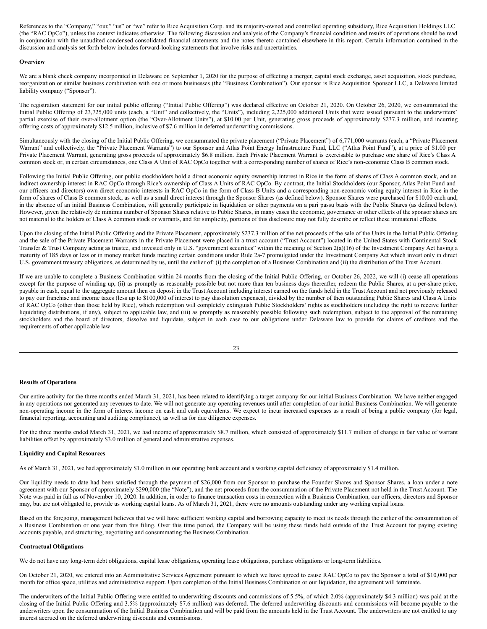References to the "Company," "our," "us" or "we" refer to Rice Acquisition Corp. and its majority-owned and controlled operating subsidiary, Rice Acquisition Holdings LLC (the "RAC OpCo"), unless the context indicates otherwise. The following discussion and analysis of the Company's financial condition and results of operations should be read in conjunction with the unaudited condensed consolidated financial statements and the notes thereto contained elsewhere in this report. Certain information contained in the discussion and analysis set forth below includes forward-looking statements that involve risks and uncertainties.

### **Overview**

We are a blank check company incorporated in Delaware on September 1, 2020 for the purpose of effecting a merger, capital stock exchange, asset acquisition, stock purchase, reorganization or similar business combination with one or more businesses (the "Business Combination"). Our sponsor is Rice Acquisition Sponsor LLC, a Delaware limited liability company ("Sponsor").

The registration statement for our initial public offering ("Initial Public Offering") was declared effective on October 21, 2020. On October 26, 2020, we consummated the Initial Public Offering of 23,725,000 units (each, a "Unit" and collectively, the "Units"), including 2,225,000 additional Units that were issued pursuant to the underwriters' partial exercise of their over-allotment option (the "Over-Allotment Units"), at \$10.00 per Unit, generating gross proceeds of approximately \$237.3 million, and incurring offering costs of approximately \$12.5 million, inclusive of \$7.6 million in deferred underwriting commissions.

Simultaneously with the closing of the Initial Public Offering, we consummated the private placement ("Private Placement") of 6,771,000 warrants (each, a "Private Placement Warrant" and collectively, the "Private Placement Warrants") to our Sponsor and Atlas Point Energy Infrastructure Fund, LLC ("Atlas Point Fund"), at a price of \$1.00 per Private Placement Warrant, generating gross proceeds of approximately \$6.8 million. Each Private Placement Warrant is exercisable to purchase one share of Rice's Class A common stock or, in certain circumstances, one Class A Unit of RAC OpCo together with a corresponding number of shares of Rice's non-economic Class B common stock.

Following the Initial Public Offering, our public stockholders hold a direct economic equity ownership interest in Rice in the form of shares of Class A common stock, and an indirect ownership interest in RAC OpCo through Rice's ownership of Class A Units of RAC OpCo. By contrast, the Initial Stockholders (our Sponsor, Atlas Point Fund and our officers and directors) own direct economic interests in RAC OpCo in the form of Class B Units and a corresponding non-economic voting equity interest in Rice in the form of shares of Class B common stock, as well as a small direct interest through the Sponsor Shares (as defined below). Sponsor Shares were purchased for \$10.00 each and, in the absence of an initial Business Combination, will generally participate in liquidation or other payments on a pari passu basis with the Public Shares (as defined below). However, given the relatively de minimis number of Sponsor Shares relative to Public Shares, in many cases the economic, governance or other effects of the sponsor shares are not material to the holders of Class A common stock or warrants, and for simplicity, portions of this disclosure may not fully describe or reflect these immaterial effects.

Upon the closing of the Initial Public Offering and the Private Placement, approximately \$237.3 million of the net proceeds of the sale of the Units in the Initial Public Offering and the sale of the Private Placement Warrants in the Private Placement were placed in a trust account ("Trust Account") located in the United States with Continental Stock Transfer & Trust Company acting as trustee, and invested only in U.S. "government securities" within the meaning of Section 2(a)(16) of the Investment Company Act having a maturity of 185 days or less or in money market funds meeting certain conditions under Rule 2a-7 promulgated under the Investment Company Act which invest only in direct U.S. government treasury obligations, as determined by us, until the earlier of: (i) the completion of a Business Combination and (ii) the distribution of the Trust Account.

If we are unable to complete a Business Combination within 24 months from the closing of the Initial Public Offering, or October 26, 2022, we will (i) cease all operations except for the purpose of winding up, (ii) as promptly as reasonably possible but not more than ten business days thereafter, redeem the Public Shares, at a per-share price, payable in cash, equal to the aggregate amount then on deposit in the Trust Account including interest earned on the funds held in the Trust Account and not previously released to pay our franchise and income taxes (less up to \$100,000 of interest to pay dissolution expenses), divided by the number of then outstanding Public Shares and Class A Units of RAC OpCo (other than those held by Rice), which redemption will completely extinguish Public Stockholders' rights as stockholders (including the right to receive further liquidating distributions, if any), subject to applicable law, and (iii) as promptly as reasonably possible following such redemption, subject to the approval of the remaining stockholders and the board of directors, dissolve and liquidate, subject in each case to our obligations under Delaware law to provide for claims of creditors and the requirements of other applicable law.

#### **Results of Operations**

Our entire activity for the three months ended March 31, 2021, has been related to identifying a target company for our initial Business Combination. We have neither engaged in any operations nor generated any revenues to date. We will not generate any operating revenues until after completion of our initial Business Combination. We will generate non-operating income in the form of interest income on cash and cash equivalents. We expect to incur increased expenses as a result of being a public company (for legal, financial reporting, accounting and auditing compliance), as well as for due diligence expenses.

For the three months ended March 31, 2021, we had income of approximately \$8.7 million, which consisted of approximately \$11.7 million of change in fair value of warrant liabilities offset by approximately \$3.0 million of general and administrative expenses.

### **Liquidity and Capital Resources**

As of March 31, 2021, we had approximately \$1.0 million in our operating bank account and a working capital deficiency of approximately \$1.4 million.

Our liquidity needs to date had been satisfied through the payment of \$26,000 from our Sponsor to purchase the Founder Shares and Sponsor Shares, a loan under a note agreement with our Sponsor of approximately \$290,000 (the "Note"), and the net proceeds from the consummation of the Private Placement not held in the Trust Account. The Note was paid in full as of November 10, 2020. In addition, in order to finance transaction costs in connection with a Business Combination, our officers, directors and Sponsor may, but are not obligated to, provide us working capital loans. As of March 31, 2021, there were no amounts outstanding under any working capital loans.

Based on the foregoing, management believes that we will have sufficient working capital and borrowing capacity to meet its needs through the earlier of the consummation of a Business Combination or one year from this filing. Over this time period, the Company will be using these funds held outside of the Trust Account for paying existing accounts payable, and structuring, negotiating and consummating the Business Combination.

#### **Contractual Obligations**

We do not have any long-term debt obligations, capital lease obligations, operating lease obligations, purchase obligations or long-term liabilities.

On October 21, 2020, we entered into an Administrative Services Agreement pursuant to which we have agreed to cause RAC OpCo to pay the Sponsor a total of \$10,000 per month for office space, utilities and administrative support. Upon completion of the Initial Business Combination or our liquidation, the agreement will terminate.

The underwriters of the Initial Public Offering were entitled to underwriting discounts and commissions of 5.5%, of which 2.0% (approximately \$4.3 million) was paid at the closing of the Initial Public Offering and 3.5% (approximately \$7.6 million) was deferred. The deferred underwriting discounts and commissions will become payable to the underwriters upon the consummation of the Initial Business Combination and will be paid from the amounts held in the Trust Account. The underwriters are not entitled to any interest accrued on the deferred underwriting discounts and commissions.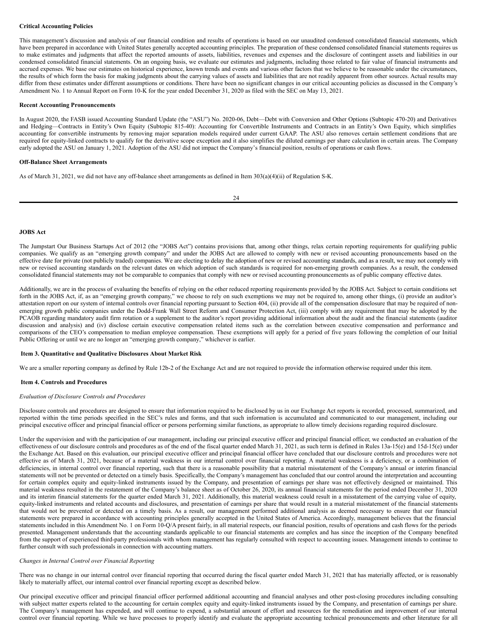### **Critical Accounting Policies**

This management's discussion and analysis of our financial condition and results of operations is based on our unaudited condensed consolidated financial statements, which have been prepared in accordance with United States generally accepted accounting principles. The preparation of these condensed consolidated financial statements requires us to make estimates and judgments that affect the reported amounts of assets, liabilities, revenues and expenses and the disclosure of contingent assets and liabilities in our condensed consolidated financial statements. On an ongoing basis, we evaluate our estimates and judgments, including those related to fair value of financial instruments and accrued expenses. We base our estimates on historical experience, known trends and events and various other factors that we believe to be reasonable under the circumstances, the results of which form the basis for making judgments about the carrying values of assets and liabilities that are not readily apparent from other sources. Actual results may differ from these estimates under different assumptions or conditions. There have been no significant changes in our critical accounting policies as discussed in the Company's Amendment No. 1 to Annual Report on Form 10-K for the year ended December 31, 2020 as filed with the SEC on May 13, 2021.

#### **Recent Accounting Pronouncements**

In August 2020, the FASB issued Accounting Standard Update (the "ASU") No. 2020-06, Debt—Debt with Conversion and Other Options (Subtopic 470-20) and Derivatives and Hedging—Contracts in Entity's Own Equity (Subtopic 815-40): Accounting for Convertible Instruments and Contracts in an Entity's Own Equity, which simplifies accounting for convertible instruments by removing major separation models required under current GAAP. The ASU also removes certain settlement conditions that are required for equity-linked contracts to qualify for the derivative scope exception and it also simplifies the diluted earnings per share calculation in certain areas. The Company early adopted the ASU on January 1, 2021. Adoption of the ASU did not impact the Company's financial position, results of operations or cash flows.

#### **Off-Balance Sheet Arrangements**

As of March 31, 2021, we did not have any off-balance sheet arrangements as defined in Item 303(a)(4)(ii) of Regulation S-K.

| I |  |
|---|--|

#### **JOBS Act**

The Jumpstart Our Business Startups Act of 2012 (the "JOBS Act") contains provisions that, among other things, relax certain reporting requirements for qualifying public companies. We qualify as an "emerging growth company" and under the JOBS Act are allowed to comply with new or revised accounting pronouncements based on the effective date for private (not publicly traded) companies. We are electing to delay the adoption of new or revised accounting standards, and as a result, we may not comply with new or revised accounting standards on the relevant dates on which adoption of such standards is required for non-emerging growth companies. As a result, the condensed consolidated financial statements may not be comparable to companies that comply with new or revised accounting pronouncements as of public company effective dates.

Additionally, we are in the process of evaluating the benefits of relying on the other reduced reporting requirements provided by the JOBS Act. Subject to certain conditions set forth in the JOBS Act, if, as an "emerging growth company," we choose to rely on such exemptions we may not be required to, among other things, (i) provide an auditor's attestation report on our system of internal controls over financial reporting pursuant to Section 404, (ii) provide all of the compensation disclosure that may be required of nonemerging growth public companies under the Dodd-Frank Wall Street Reform and Consumer Protection Act, (iii) comply with any requirement that may be adopted by the PCAOB regarding mandatory audit firm rotation or a supplement to the auditor's report providing additional information about the audit and the financial statements (auditor discussion and analysis) and (iv) disclose certain executive compensation related items such as the correlation between executive compensation and performance and comparisons of the CEO's compensation to median employee compensation. These exemptions will apply for a period of five years following the completion of our Initial Public Offering or until we are no longer an "emerging growth company," whichever is earlier.

#### <span id="page-17-0"></span>**Item 3. Quantitative and Qualitative Disclosures About Market Risk**

We are a smaller reporting company as defined by Rule 12b-2 of the Exchange Act and are not required to provide the information otherwise required under this item.

#### <span id="page-17-1"></span>**Item 4. Controls and Procedures**

### *Evaluation of Disclosure Controls and Procedures*

Disclosure controls and procedures are designed to ensure that information required to be disclosed by us in our Exchange Act reports is recorded, processed, summarized, and reported within the time periods specified in the SEC's rules and forms, and that such information is accumulated and communicated to our management, including our principal executive officer and principal financial officer or persons performing similar functions, as appropriate to allow timely decisions regarding required disclosure.

Under the supervision and with the participation of our management, including our principal executive officer and principal financial officer, we conducted an evaluation of the effectiveness of our disclosure controls and procedures as of the end of the fiscal quarter ended March 31, 2021, as such term is defined in Rules 13a-15(e) and 15d-15(e) under the Exchange Act. Based on this evaluation, our principal executive officer and principal financial officer have concluded that our disclosure controls and procedures were not effective as of March 31, 2021, because of a material weakness in our internal control over financial reporting. A material weakness is a deficiency, or a combination of deficiencies, in internal control over financial reporting, such that there is a reasonable possibility that a material misstatement of the Company's annual or interim financial statements will not be prevented or detected on a timely basis. Specifically, the Company's management has concluded that our control around the interpretation and accounting for certain complex equity and equity-linked instruments issued by the Company, and presentation of earnings per share was not effectively designed or maintained. This material weakness resulted in the restatement of the Company's balance sheet as of October 26, 2020, its annual financial statements for the period ended December 31, 2020 and its interim financial statements for the quarter ended March 31, 2021. Additionally, this material weakness could result in a misstatement of the carrying value of equity, equity-linked instruments and related accounts and disclosures, and presentation of earnings per share that would result in a material misstatement of the financial statements that would not be prevented or detected on a timely basis. As a result, our management performed additional analysis as deemed necessary to ensure that our financial statements were prepared in accordance with accounting principles generally accepted in the United States of America. Accordingly, management believes that the financial statements included in this Amendment No. 1 on Form 10-Q/A present fairly, in all material respects, our financial position, results of operations and cash flows for the periods presented. Management understands that the accounting standards applicable to our financial statements are complex and has since the inception of the Company benefited from the support of experienced third-party professionals with whom management has regularly consulted with respect to accounting issues. Management intends to continue to further consult with such professionals in connection with accounting matters.

#### *Changes in Internal Control over Financial Reporting*

There was no change in our internal control over financial reporting that occurred during the fiscal quarter ended March 31, 2021 that has materially affected, or is reasonably likely to materially affect, our internal control over financial reporting except as described below.

Our principal executive officer and principal financial officer performed additional accounting and financial analyses and other post-closing procedures including consulting with subject matter experts related to the accounting for certain complex equity and equity-linked instruments issued by the Company, and presentation of earnings per share. The Company's management has expended, and will continue to expend, a substantial amount of effort and resources for the remediation and improvement of our internal control over financial reporting. While we have processes to properly identify and evaluate the appropriate accounting technical pronouncements and other literature for all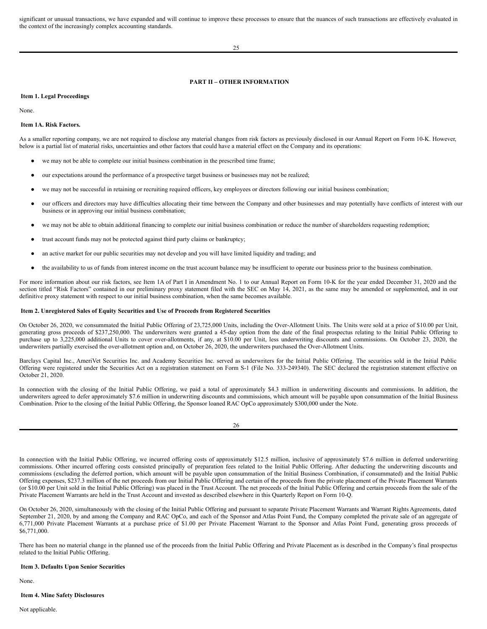significant or unusual transactions, we have expanded and will continue to improve these processes to ensure that the nuances of such transactions are effectively evaluated in the context of the increasingly complex accounting standards.

25

# <span id="page-18-0"></span>**PART II – OTHER INFORMATION**

# <span id="page-18-1"></span>**Item 1. Legal Proceedings**

None.

### <span id="page-18-2"></span>**Item 1A. Risk Factors.**

As a smaller reporting company, we are not required to disclose any material changes from risk factors as previously disclosed in our Annual Report on Form 10-K. However, below is a partial list of material risks, uncertainties and other factors that could have a material effect on the Company and its operations:

- we may not be able to complete our initial business combination in the prescribed time frame;
- our expectations around the performance of a prospective target business or businesses may not be realized;
- we may not be successful in retaining or recruiting required officers, key employees or directors following our initial business combination;
- our officers and directors may have difficulties allocating their time between the Company and other businesses and may potentially have conflicts of interest with our business or in approving our initial business combination;
- we may not be able to obtain additional financing to complete our initial business combination or reduce the number of shareholders requesting redemption;
- trust account funds may not be protected against third party claims or bankruptcy;
- an active market for our public securities may not develop and you will have limited liquidity and trading; and
- the availability to us of funds from interest income on the trust account balance may be insufficient to operate our business prior to the business combination.

For more information about our risk factors, see Item 1A of Part I in Amendment No. 1 to our Annual Report on Form 10-K for the year ended December 31, 2020 and the section titled "Risk Factors" contained in our preliminary proxy statement filed with the SEC on May 14, 2021, as the same may be amended or supplemented, and in our definitive proxy statement with respect to our initial business combination, when the same becomes available.

### <span id="page-18-3"></span>**Item 2. Unregistered Sales of Equity Securities and Use of Proceeds from Registered Securities**

On October 26, 2020, we consummated the Initial Public Offering of 23,725,000 Units, including the Over-Allotment Units. The Units were sold at a price of \$10.00 per Unit, generating gross proceeds of \$237,250,000. The underwriters were granted a 45-day option from the date of the final prospectus relating to the Initial Public Offering to purchase up to 3,225,000 additional Units to cover over-allotments, if any, at \$10.00 per Unit, less underwriting discounts and commissions. On October 23, 2020, the underwriters partially exercised the over-allotment option and, on October 26, 2020, the underwriters purchased the Over-Allotment Units.

Barclays Capital Inc., AmeriVet Securities Inc. and Academy Securities Inc. served as underwriters for the Initial Public Offering. The securities sold in the Initial Public Offering were registered under the Securities Act on a registration statement on Form S-1 (File No. 333-249340). The SEC declared the registration statement effective on October 21, 2020.

In connection with the closing of the Initial Public Offering, we paid a total of approximately \$4.3 million in underwriting discounts and commissions. In addition, the underwriters agreed to defer approximately \$7.6 million in underwriting discounts and commissions, which amount will be payable upon consummation of the Initial Business Combination. Prior to the closing of the Initial Public Offering, the Sponsor loaned RAC OpCo approximately \$300,000 under the Note.

| I | I<br>×<br>٧ |
|---|-------------|

In connection with the Initial Public Offering, we incurred offering costs of approximately \$12.5 million, inclusive of approximately \$7.6 million in deferred underwriting commissions. Other incurred offering costs consisted principally of preparation fees related to the Initial Public Offering. After deducting the underwriting discounts and commissions (excluding the deferred portion, which amount will be payable upon consummation of the Initial Business Combination, if consummated) and the Initial Public Offering expenses, \$237.3 million of the net proceeds from our Initial Public Offering and certain of the proceeds from the private placement of the Private Placement Warrants (or \$10.00 per Unit sold in the Initial Public Offering) was placed in the Trust Account. The net proceeds of the Initial Public Offering and certain proceeds from the sale of the Private Placement Warrants are held in the Trust Account and invested as described elsewhere in this Quarterly Report on Form 10-Q.

On October 26, 2020, simultaneously with the closing of the Initial Public Offering and pursuant to separate Private Placement Warrants and Warrant Rights Agreements, dated September 21, 2020, by and among the Company and RAC OpCo, and each of the Sponsor and Atlas Point Fund, the Company completed the private sale of an aggregate of 6,771,000 Private Placement Warrants at a purchase price of \$1.00 per Private Placement Warrant to the Sponsor and Atlas Point Fund, generating gross proceeds of \$6,771,000.

There has been no material change in the planned use of the proceeds from the Initial Public Offering and Private Placement as is described in the Company's final prospectus related to the Initial Public Offering.

# <span id="page-18-4"></span>**Item 3. Defaults Upon Senior Securities**

None.

# <span id="page-18-5"></span>**Item 4. Mine Safety Disclosures**

Not applicable.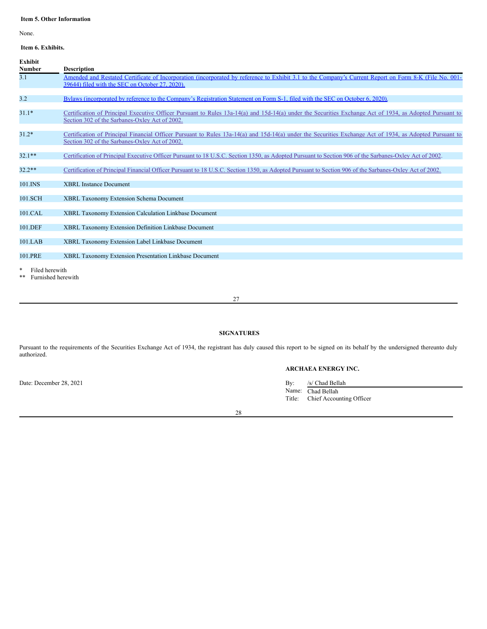# <span id="page-19-0"></span>**Item 5. Other Information**

None.

# <span id="page-19-1"></span>**Item 6. Exhibits.**

| <b>Exhibit</b><br><b>Number</b> | <b>Description</b>                                                                                                                                                                                         |
|---------------------------------|------------------------------------------------------------------------------------------------------------------------------------------------------------------------------------------------------------|
| 3.1                             | Amended and Restated Certificate of Incorporation (incorporated by reference to Exhibit 3.1 to the Company's Current Report on Form 8-K (File No. 001-<br>39644) filed with the SEC on October 27, 2020).  |
| 3.2                             | Bylaws (incorporated by reference to the Company's Registration Statement on Form S-1, filed with the SEC on October 6, 2020).                                                                             |
| $31.1*$                         | Certification of Principal Executive Officer Pursuant to Rules 13a-14(a) and 15d-14(a) under the Securities Exchange Act of 1934, as Adopted Pursuant to<br>Section 302 of the Sarbanes-Oxley Act of 2002. |
| $31.2*$                         | Certification of Principal Financial Officer Pursuant to Rules 13a-14(a) and 15d-14(a) under the Securities Exchange Act of 1934, as Adopted Pursuant to<br>Section 302 of the Sarbanes-Oxley Act of 2002. |
| $32.1**$                        | Certification of Principal Executive Officer Pursuant to 18 U.S.C. Section 1350, as Adopted Pursuant to Section 906 of the Sarbanes-Oxley Act of 2002.                                                     |
| $32.2**$                        | Certification of Principal Financial Officer Pursuant to 18 U.S.C. Section 1350, as Adopted Pursuant to Section 906 of the Sarbanes-Oxley Act of 2002.                                                     |
| 101.INS                         | <b>XBRL</b> Instance Document                                                                                                                                                                              |
| 101.SCH                         | XBRL Taxonomy Extension Schema Document                                                                                                                                                                    |
| 101.CAL                         | XBRL Taxonomy Extension Calculation Linkbase Document                                                                                                                                                      |
| 101.DEF                         | XBRL Taxonomy Extension Definition Linkbase Document                                                                                                                                                       |
| 101.LAB                         | XBRL Taxonomy Extension Label Linkbase Document                                                                                                                                                            |
| 101.PRE                         | XBRL Taxonomy Extension Presentation Linkbase Document                                                                                                                                                     |
| *<br>Filed herewith             |                                                                                                                                                                                                            |

\*\* Furnished herewith

# 27

# <span id="page-19-2"></span>**SIGNATURES**

Pursuant to the requirements of the Securities Exchange Act of 1934, the registrant has duly caused this report to be signed on its behalf by the undersigned thereunto duly authorized.

# **ARCHAEA ENERGY INC.**

Date: December 28, 2021 By: /s/ Chad Bellah Name: Chad Bellah Title: Chief Accounting Officer

28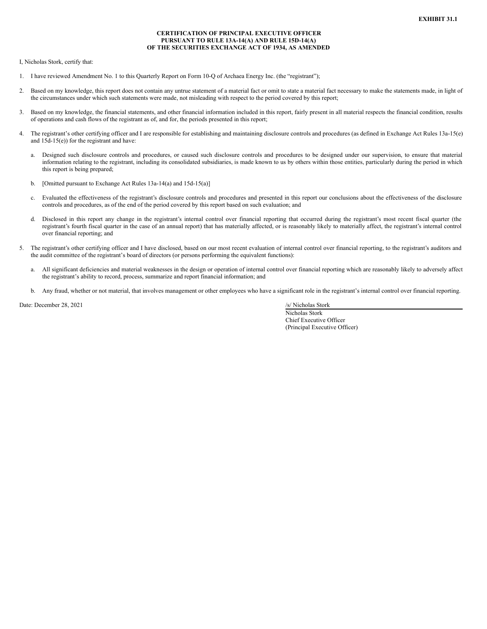### **CERTIFICATION OF PRINCIPAL EXECUTIVE OFFICER PURSUANT TO RULE 13A-14(A) AND RULE 15D-14(A) OF THE SECURITIES EXCHANGE ACT OF 1934, AS AMENDED**

<span id="page-20-0"></span>I, Nicholas Stork, certify that:

- 1. I have reviewed Amendment No. 1 to this Quarterly Report on Form 10-Q of Archaea Energy Inc. (the "registrant");
- 2. Based on my knowledge, this report does not contain any untrue statement of a material fact or omit to state a material fact necessary to make the statements made, in light of the circumstances under which such statements were made, not misleading with respect to the period covered by this report;
- 3. Based on my knowledge, the financial statements, and other financial information included in this report, fairly present in all material respects the financial condition, results of operations and cash flows of the registrant as of, and for, the periods presented in this report;
- 4. The registrant's other certifying officer and I are responsible for establishing and maintaining disclosure controls and procedures (as defined in Exchange Act Rules 13a-15(e) and 15d-15(e)) for the registrant and have:
	- a. Designed such disclosure controls and procedures, or caused such disclosure controls and procedures to be designed under our supervision, to ensure that material information relating to the registrant, including its consolidated subsidiaries, is made known to us by others within those entities, particularly during the period in which this report is being prepared;
	- b. [Omitted pursuant to Exchange Act Rules 13a-14(a) and 15d-15(a)]
	- c. Evaluated the effectiveness of the registrant's disclosure controls and procedures and presented in this report our conclusions about the effectiveness of the disclosure controls and procedures, as of the end of the period covered by this report based on such evaluation; and
	- d. Disclosed in this report any change in the registrant's internal control over financial reporting that occurred during the registrant's most recent fiscal quarter (the registrant's fourth fiscal quarter in the case of an annual report) that has materially affected, or is reasonably likely to materially affect, the registrant's internal control over financial reporting; and
- 5. The registrant's other certifying officer and I have disclosed, based on our most recent evaluation of internal control over financial reporting, to the registrant's auditors and the audit committee of the registrant's board of directors (or persons performing the equivalent functions):
	- a. All significant deficiencies and material weaknesses in the design or operation of internal control over financial reporting which are reasonably likely to adversely affect the registrant's ability to record, process, summarize and report financial information; and
	- b. Any fraud, whether or not material, that involves management or other employees who have a significant role in the registrant's internal control over financial reporting.

Date: December 28, 2021 /s/ Nicholas Stork

Nicholas Stork Chief Executive Officer (Principal Executive Officer)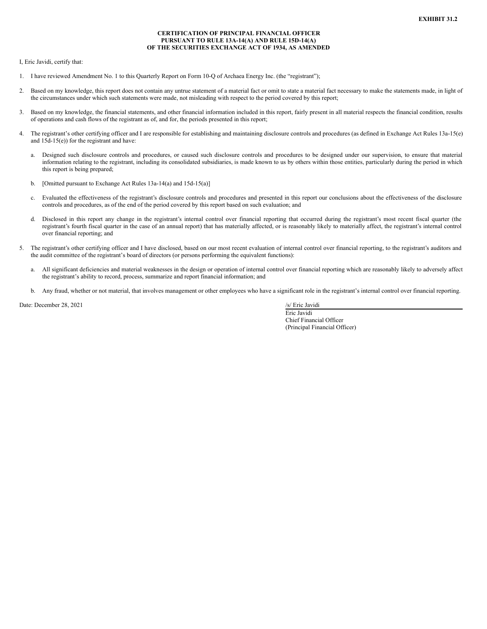### **CERTIFICATION OF PRINCIPAL FINANCIAL OFFICER PURSUANT TO RULE 13A-14(A) AND RULE 15D-14(A) OF THE SECURITIES EXCHANGE ACT OF 1934, AS AMENDED**

<span id="page-21-0"></span>I, Eric Javidi, certify that:

- 1. I have reviewed Amendment No. 1 to this Quarterly Report on Form 10-Q of Archaea Energy Inc. (the "registrant");
- 2. Based on my knowledge, this report does not contain any untrue statement of a material fact or omit to state a material fact necessary to make the statements made, in light of the circumstances under which such statements were made, not misleading with respect to the period covered by this report;
- 3. Based on my knowledge, the financial statements, and other financial information included in this report, fairly present in all material respects the financial condition, results of operations and cash flows of the registrant as of, and for, the periods presented in this report;
- 4. The registrant's other certifying officer and I are responsible for establishing and maintaining disclosure controls and procedures (as defined in Exchange Act Rules 13a-15(e) and 15d-15(e)) for the registrant and have:
	- a. Designed such disclosure controls and procedures, or caused such disclosure controls and procedures to be designed under our supervision, to ensure that material information relating to the registrant, including its consolidated subsidiaries, is made known to us by others within those entities, particularly during the period in which this report is being prepared;
	- b. [Omitted pursuant to Exchange Act Rules 13a-14(a) and 15d-15(a)]
	- c. Evaluated the effectiveness of the registrant's disclosure controls and procedures and presented in this report our conclusions about the effectiveness of the disclosure controls and procedures, as of the end of the period covered by this report based on such evaluation; and
	- d. Disclosed in this report any change in the registrant's internal control over financial reporting that occurred during the registrant's most recent fiscal quarter (the registrant's fourth fiscal quarter in the case of an annual report) that has materially affected, or is reasonably likely to materially affect, the registrant's internal control over financial reporting; and
- 5. The registrant's other certifying officer and I have disclosed, based on our most recent evaluation of internal control over financial reporting, to the registrant's auditors and the audit committee of the registrant's board of directors (or persons performing the equivalent functions):
	- a. All significant deficiencies and material weaknesses in the design or operation of internal control over financial reporting which are reasonably likely to adversely affect the registrant's ability to record, process, summarize and report financial information; and
	- b. Any fraud, whether or not material, that involves management or other employees who have a significant role in the registrant's internal control over financial reporting.

Date: December 28, 2021 /s/ Eric Javidi

Eric Javidi Chief Financial Officer (Principal Financial Officer)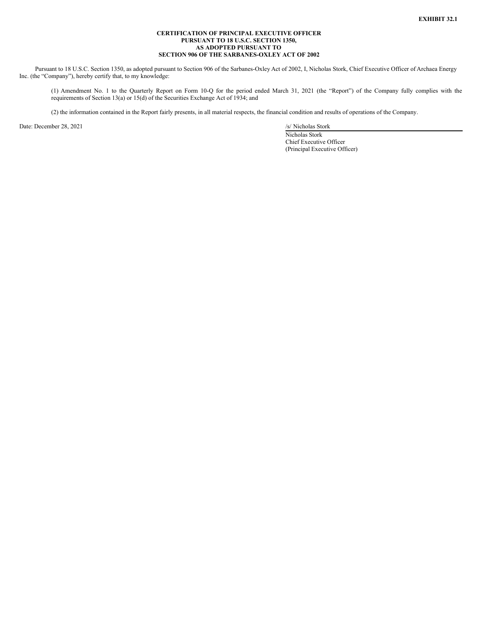### **CERTIFICATION OF PRINCIPAL EXECUTIVE OFFICER PURSUANT TO 18 U.S.C. SECTION 1350, AS ADOPTED PURSUANT TO SECTION 906 OF THE SARBANES-OXLEY ACT OF 2002**

<span id="page-22-0"></span>Pursuant to 18 U.S.C. Section 1350, as adopted pursuant to Section 906 of the Sarbanes-Oxley Act of 2002, I, Nicholas Stork, Chief Executive Officer of Archaea Energy Inc. (the "Company"), hereby certify that, to my knowledge:

(1) Amendment No. 1 to the Quarterly Report on Form 10-Q for the period ended March 31, 2021 (the "Report") of the Company fully complies with the requirements of Section 13(a) or 15(d) of the Securities Exchange Act of 1934; and

(2) the information contained in the Report fairly presents, in all material respects, the financial condition and results of operations of the Company.

Date: December 28, 2021 /s/ Nicholas Stork

Nicholas Stork Chief Executive Officer (Principal Executive Officer)